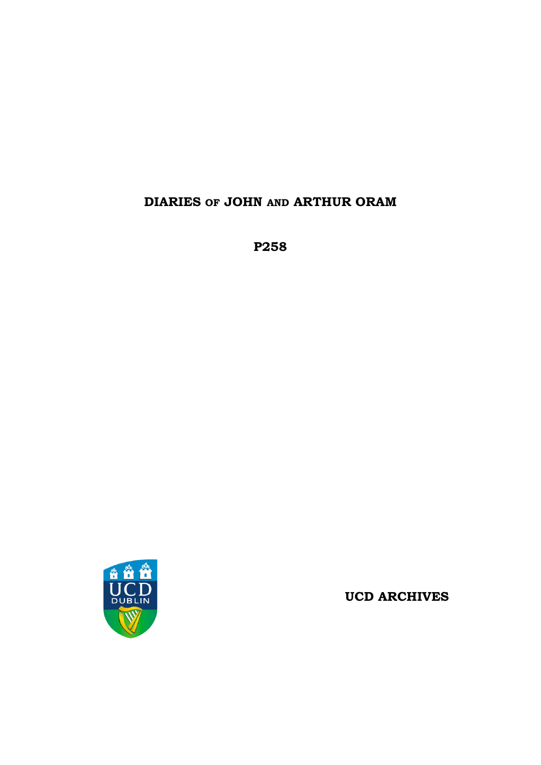# **DIARIES OF JOHN AND ARTHUR ORAM**

**P258**



**UCD ARCHIVES**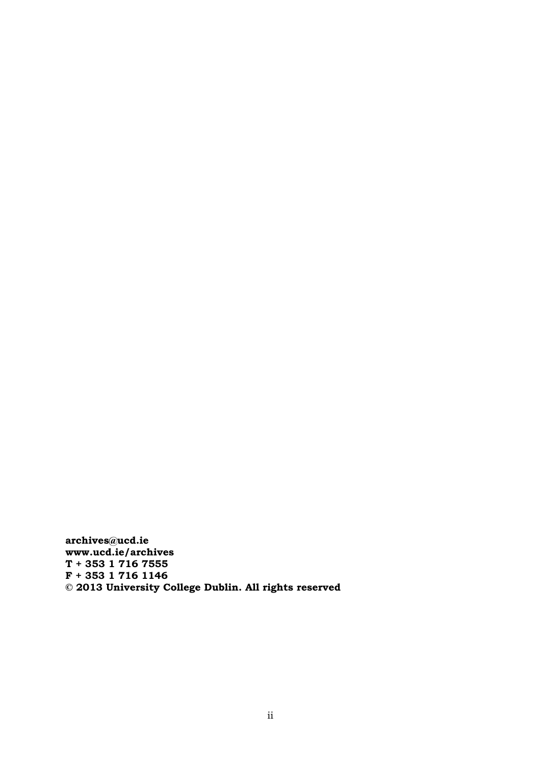**archives@ucd.ie www.ucd.ie/archives T + 353 1 716 7555 F + 353 1 716 1146 © 2013 University College Dublin. All rights reserved**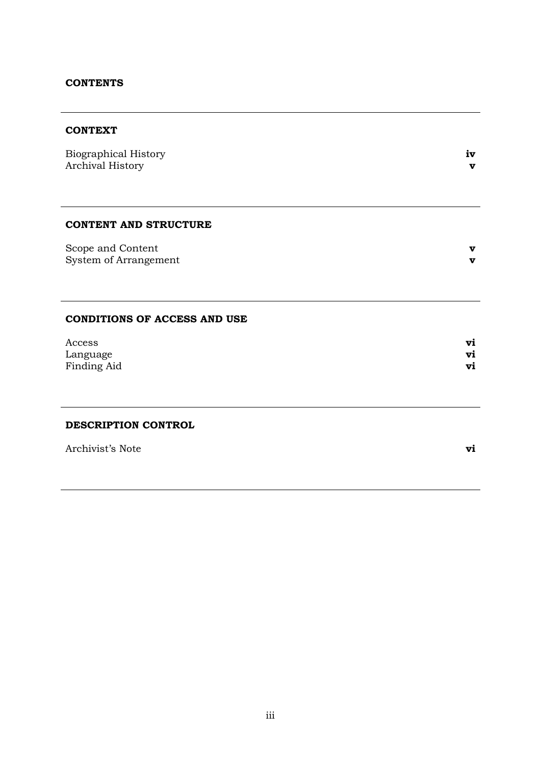# **CONTENTS**

# **CONTEXT**

| <b>Biographical History</b><br>Archival History | iv<br>v |
|-------------------------------------------------|---------|
|                                                 |         |
| <b>CONTENT AND STRUCTURE</b>                    |         |
| Scope and Content<br>System of Arrangement      | v<br>v  |
|                                                 |         |
|                                                 |         |
| <b>CONDITIONS OF ACCESS AND USE</b>             |         |
| Access                                          | vi      |
| Language                                        | Vi      |

Finding Aid **vi**

#### **DESCRIPTION CONTROL**

| Archivist's Note |  |
|------------------|--|
|------------------|--|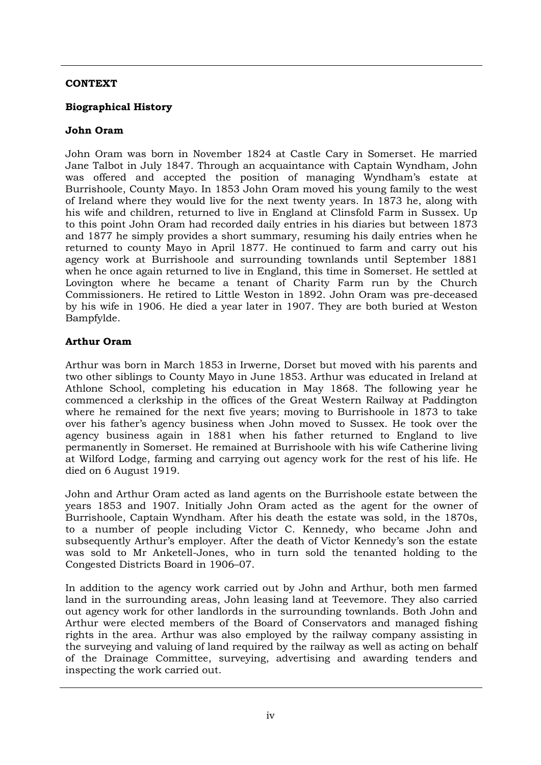# **CONTEXT**

# **Biographical History**

# **John Oram**

John Oram was born in November 1824 at Castle Cary in Somerset. He married Jane Talbot in July 1847. Through an acquaintance with Captain Wyndham, John was offered and accepted the position of managing Wyndham's estate at Burrishoole, County Mayo. In 1853 John Oram moved his young family to the west of Ireland where they would live for the next twenty years. In 1873 he, along with his wife and children, returned to live in England at Clinsfold Farm in Sussex. Up to this point John Oram had recorded daily entries in his diaries but between 1873 and 1877 he simply provides a short summary, resuming his daily entries when he returned to county Mayo in April 1877. He continued to farm and carry out his agency work at Burrishoole and surrounding townlands until September 1881 when he once again returned to live in England, this time in Somerset. He settled at Lovington where he became a tenant of Charity Farm run by the Church Commissioners. He retired to Little Weston in 1892. John Oram was pre-deceased by his wife in 1906. He died a year later in 1907. They are both buried at Weston Bampfylde.

# **Arthur Oram**

Arthur was born in March 1853 in Irwerne, Dorset but moved with his parents and two other siblings to County Mayo in June 1853. Arthur was educated in Ireland at Athlone School, completing his education in May 1868. The following year he commenced a clerkship in the offices of the Great Western Railway at Paddington where he remained for the next five years; moving to Burrishoole in 1873 to take over his father's agency business when John moved to Sussex. He took over the agency business again in 1881 when his father returned to England to live permanently in Somerset. He remained at Burrishoole with his wife Catherine living at Wilford Lodge, farming and carrying out agency work for the rest of his life. He died on 6 August 1919.

John and Arthur Oram acted as land agents on the Burrishoole estate between the years 1853 and 1907. Initially John Oram acted as the agent for the owner of Burrishoole, Captain Wyndham. After his death the estate was sold, in the 1870s, to a number of people including Victor C. Kennedy, who became John and subsequently Arthur's employer. After the death of Victor Kennedy's son the estate was sold to Mr Anketell-Jones, who in turn sold the tenanted holding to the Congested Districts Board in 1906–07.

In addition to the agency work carried out by John and Arthur, both men farmed land in the surrounding areas, John leasing land at Teevemore. They also carried out agency work for other landlords in the surrounding townlands. Both John and Arthur were elected members of the Board of Conservators and managed fishing rights in the area. Arthur was also employed by the railway company assisting in the surveying and valuing of land required by the railway as well as acting on behalf of the Drainage Committee, surveying, advertising and awarding tenders and inspecting the work carried out.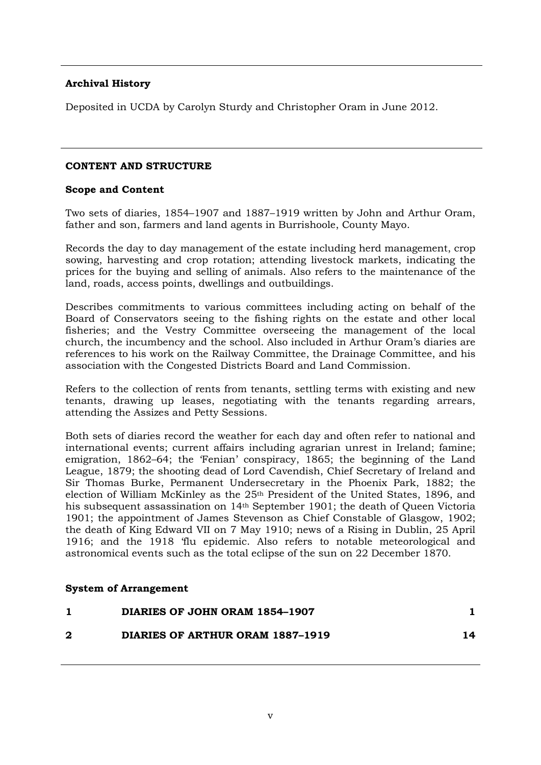# **Archival History**

Deposited in UCDA by Carolyn Sturdy and Christopher Oram in June 2012.

### **CONTENT AND STRUCTURE**

#### **Scope and Content**

Two sets of diaries, 1854–1907 and 1887–1919 written by John and Arthur Oram, father and son, farmers and land agents in Burrishoole, County Mayo.

Records the day to day management of the estate including herd management, crop sowing, harvesting and crop rotation; attending livestock markets, indicating the prices for the buying and selling of animals. Also refers to the maintenance of the land, roads, access points, dwellings and outbuildings.

Describes commitments to various committees including acting on behalf of the Board of Conservators seeing to the fishing rights on the estate and other local fisheries; and the Vestry Committee overseeing the management of the local church, the incumbency and the school. Also included in Arthur Oram's diaries are references to his work on the Railway Committee, the Drainage Committee, and his association with the Congested Districts Board and Land Commission.

Refers to the collection of rents from tenants, settling terms with existing and new tenants, drawing up leases, negotiating with the tenants regarding arrears, attending the Assizes and Petty Sessions.

Both sets of diaries record the weather for each day and often refer to national and international events; current affairs including agrarian unrest in Ireland; famine; emigration, 1862–64; the 'Fenian' conspiracy, 1865; the beginning of the Land League, 1879; the shooting dead of Lord Cavendish, Chief Secretary of Ireland and Sir Thomas Burke, Permanent Undersecretary in the Phoenix Park, 1882; the election of William McKinley as the 25th President of the United States, 1896, and his subsequent assassination on 14th September 1901; the death of Queen Victoria 1901; the appointment of James Stevenson as Chief Constable of Glasgow, 1902; the death of King Edward VII on 7 May 1910; news of a Rising in Dublin, 25 April 1916; and the 1918 'flu epidemic. Also refers to notable meteorological and astronomical events such as the total eclipse of the sun on 22 December 1870.

#### **System of Arrangement**

| DIARIES OF JOHN ORAM 1854–1907   |    |
|----------------------------------|----|
| DIARIES OF ARTHUR ORAM 1887-1919 | 14 |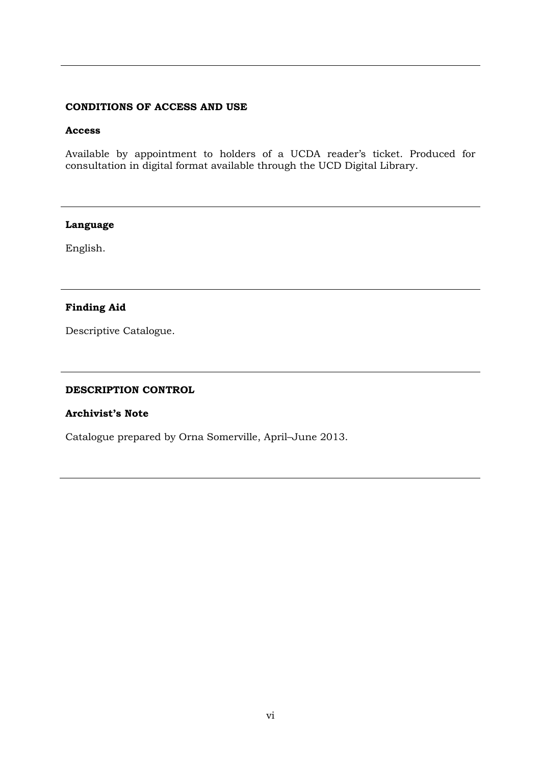# **CONDITIONS OF ACCESS AND USE**

#### **Access**

Available by appointment to holders of a UCDA reader's ticket. Produced for consultation in digital format available through the UCD Digital Library.

#### **Language**

English.

# **Finding Aid**

Descriptive Catalogue.

#### **DESCRIPTION CONTROL**

#### **Archivist's Note**

Catalogue prepared by Orna Somerville, April–June 2013.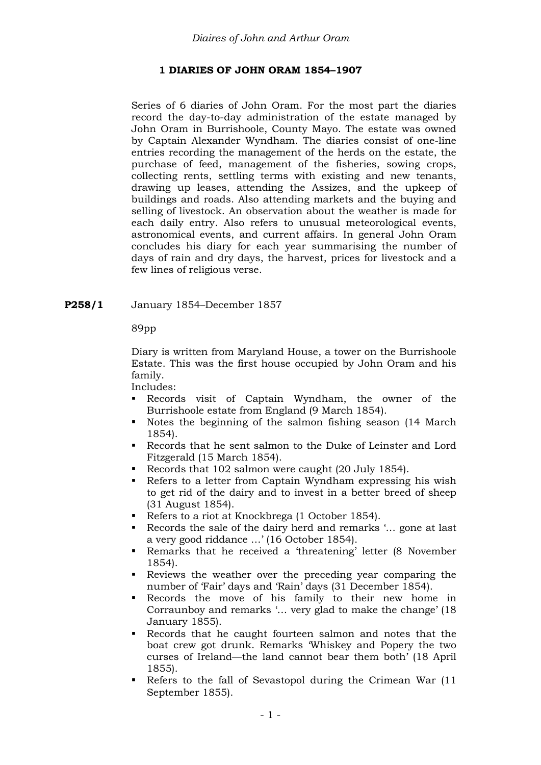# **1 DIARIES OF JOHN ORAM 1854–1907**

Series of 6 diaries of John Oram. For the most part the diaries record the day-to-day administration of the estate managed by John Oram in Burrishoole, County Mayo. The estate was owned by Captain Alexander Wyndham. The diaries consist of one-line entries recording the management of the herds on the estate, the purchase of feed, management of the fisheries, sowing crops, collecting rents, settling terms with existing and new tenants, drawing up leases, attending the Assizes, and the upkeep of buildings and roads. Also attending markets and the buying and selling of livestock. An observation about the weather is made for each daily entry. Also refers to unusual meteorological events, astronomical events, and current affairs. In general John Oram concludes his diary for each year summarising the number of days of rain and dry days, the harvest, prices for livestock and a few lines of religious verse.

### **P258/1** January 1854–December 1857

89pp

Diary is written from Maryland House, a tower on the Burrishoole Estate. This was the first house occupied by John Oram and his family.

- Records visit of Captain Wyndham, the owner of the Burrishoole estate from England (9 March 1854).
- Notes the beginning of the salmon fishing season (14 March 1854).
- Records that he sent salmon to the Duke of Leinster and Lord Fitzgerald (15 March 1854).
- Records that 102 salmon were caught (20 July 1854).
- Refers to a letter from Captain Wyndham expressing his wish to get rid of the dairy and to invest in a better breed of sheep (31 August 1854).
- Refers to a riot at Knockbrega (1 October 1854).
- Records the sale of the dairy herd and remarks '... gone at last a very good riddance …' (16 October 1854).
- Remarks that he received a 'threatening' letter (8 November 1854).
- Reviews the weather over the preceding year comparing the number of 'Fair' days and 'Rain' days (31 December 1854).
- Records the move of his family to their new home in Corraunboy and remarks '… very glad to make the change' (18 January 1855).
- Records that he caught fourteen salmon and notes that the boat crew got drunk. Remarks 'Whiskey and Popery the two curses of Ireland—the land cannot bear them both' (18 April 1855).
- Refers to the fall of Sevastopol during the Crimean War (11 September 1855).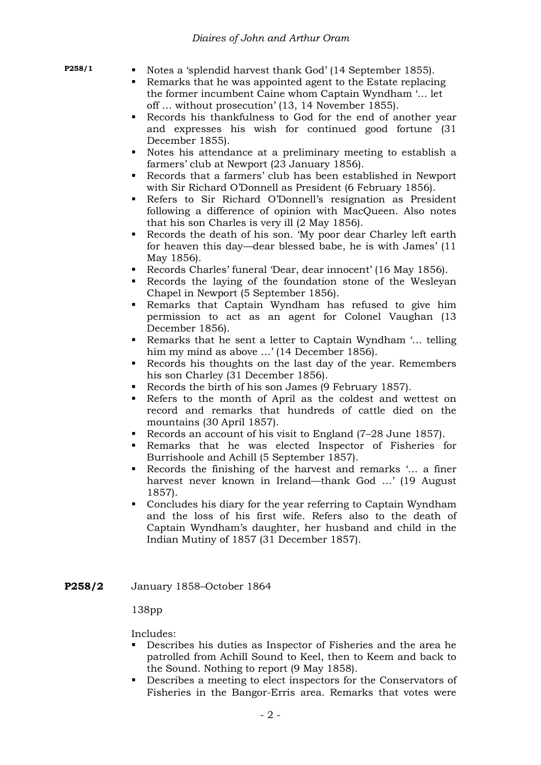- 
- **P258/1** Notes a 'splendid harvest thank God' (14 September 1855).
	- Remarks that he was appointed agent to the Estate replacing the former incumbent Caine whom Captain Wyndham '… let off … without prosecution' (13, 14 November 1855).
	- Records his thankfulness to God for the end of another year and expresses his wish for continued good fortune (31 December 1855).
	- Notes his attendance at a preliminary meeting to establish a farmers' club at Newport (23 January 1856).
	- Records that a farmers' club has been established in Newport with Sir Richard O'Donnell as President (6 February 1856).
	- Refers to Sir Richard O'Donnell's resignation as President following a difference of opinion with MacQueen. Also notes that his son Charles is very ill (2 May 1856).
	- Records the death of his son. 'My poor dear Charley left earth for heaven this day—dear blessed babe, he is with James' (11 May 1856).
	- Records Charles' funeral 'Dear, dear innocent' (16 May 1856).
	- Records the laying of the foundation stone of the Wesleyan Chapel in Newport (5 September 1856).
	- Remarks that Captain Wyndham has refused to give him permission to act as an agent for Colonel Vaughan (13 December 1856).
	- Remarks that he sent a letter to Captain Wyndham '… telling him my mind as above ...' (14 December 1856).
	- Records his thoughts on the last day of the year. Remembers his son Charley (31 December 1856).
	- Records the birth of his son James (9 February 1857).
	- Refers to the month of April as the coldest and wettest on record and remarks that hundreds of cattle died on the mountains (30 April 1857).
	- Records an account of his visit to England (7–28 June 1857).
	- Remarks that he was elected Inspector of Fisheries for Burrishoole and Achill (5 September 1857).
	- Records the finishing of the harvest and remarks '… a finer harvest never known in Ireland—thank God …' (19 August 1857).
	- Concludes his diary for the year referring to Captain Wyndham and the loss of his first wife. Refers also to the death of Captain Wyndham's daughter, her husband and child in the Indian Mutiny of 1857 (31 December 1857).
- **P258/2** January 1858–October 1864

# 138pp

- Describes his duties as Inspector of Fisheries and the area he patrolled from Achill Sound to Keel, then to Keem and back to the Sound. Nothing to report (9 May 1858).
- Describes a meeting to elect inspectors for the Conservators of Fisheries in the Bangor-Erris area. Remarks that votes were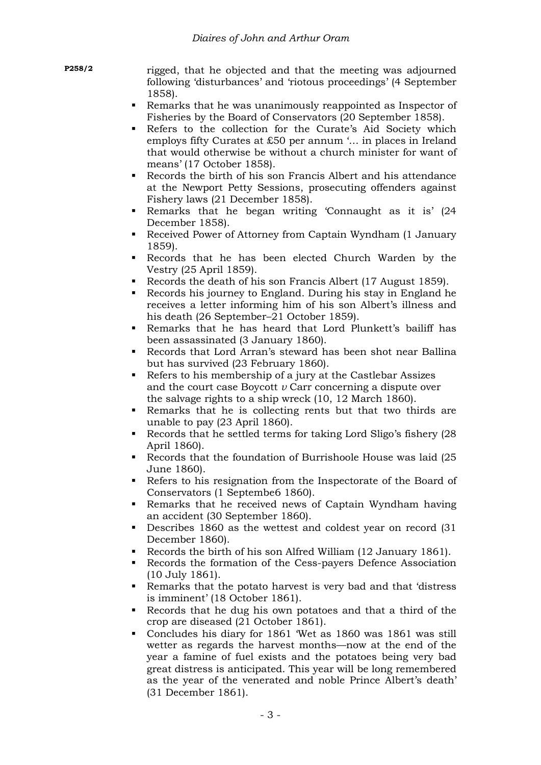**P258/2** rigged, that he objected and that the meeting was adjourned following 'disturbances' and 'riotous proceedings' (4 September 1858).

- Remarks that he was unanimously reappointed as Inspector of Fisheries by the Board of Conservators (20 September 1858).
- Refers to the collection for the Curate's Aid Society which employs fifty Curates at £50 per annum '… in places in Ireland that would otherwise be without a church minister for want of means' (17 October 1858).
- Records the birth of his son Francis Albert and his attendance at the Newport Petty Sessions, prosecuting offenders against Fishery laws (21 December 1858).
- Remarks that he began writing 'Connaught as it is' (24 December 1858).
- Received Power of Attorney from Captain Wyndham (1 January 1859).
- Records that he has been elected Church Warden by the Vestry (25 April 1859).
- Records the death of his son Francis Albert (17 August 1859).
- Records his journey to England. During his stay in England he receives a letter informing him of his son Albert's illness and his death (26 September–21 October 1859).
- Remarks that he has heard that Lord Plunkett's bailiff has been assassinated (3 January 1860).
- Records that Lord Arran's steward has been shot near Ballina but has survived (23 February 1860).
- Refers to his membership of a jury at the Castlebar Assizes and the court case Boycott *v* Carr concerning a dispute over the salvage rights to a ship wreck (10, 12 March 1860).
- Remarks that he is collecting rents but that two thirds are unable to pay (23 April 1860).
- Records that he settled terms for taking Lord Sligo's fishery (28 April 1860).
- Records that the foundation of Burrishoole House was laid (25 June 1860).
- Refers to his resignation from the Inspectorate of the Board of Conservators (1 Septembe6 1860).
- Remarks that he received news of Captain Wyndham having an accident (30 September 1860).
- Describes 1860 as the wettest and coldest year on record (31 December 1860).
- Records the birth of his son Alfred William (12 January 1861).
- Records the formation of the Cess-payers Defence Association (10 July 1861).
- Remarks that the potato harvest is very bad and that 'distress is imminent' (18 October 1861).
- Records that he dug his own potatoes and that a third of the crop are diseased (21 October 1861).
- Concludes his diary for 1861 'Wet as 1860 was 1861 was still wetter as regards the harvest months—now at the end of the year a famine of fuel exists and the potatoes being very bad great distress is anticipated. This year will be long remembered as the year of the venerated and noble Prince Albert's death' (31 December 1861).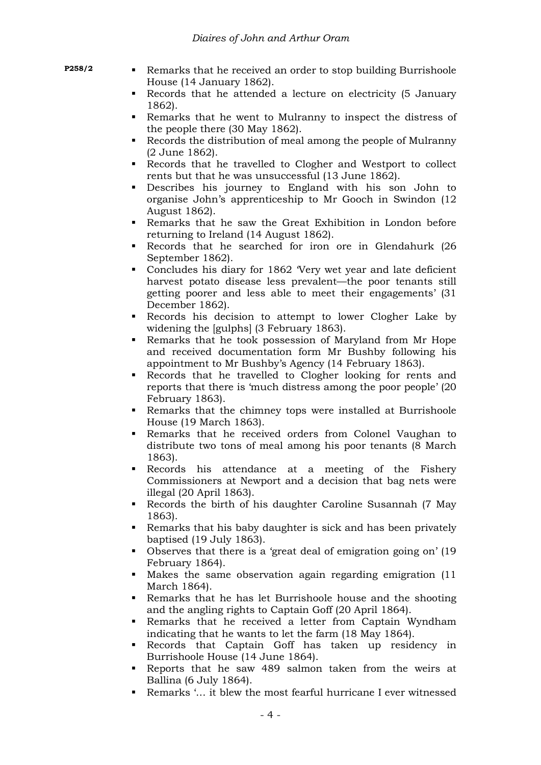- 
- **P258/2 Remarks that he received an order to stop building Burrishoole** House (14 January 1862).
	- Records that he attended a lecture on electricity (5 January 1862).
	- Remarks that he went to Mulranny to inspect the distress of the people there (30 May 1862).
	- Records the distribution of meal among the people of Mulranny (2 June 1862).
	- Records that he travelled to Clogher and Westport to collect rents but that he was unsuccessful (13 June 1862).
	- Describes his journey to England with his son John to organise John's apprenticeship to Mr Gooch in Swindon (12 August 1862).
	- Remarks that he saw the Great Exhibition in London before returning to Ireland (14 August 1862).
	- Records that he searched for iron ore in Glendahurk (26 September 1862).
	- Concludes his diary for 1862 'Very wet year and late deficient harvest potato disease less prevalent—the poor tenants still getting poorer and less able to meet their engagements' (31 December 1862).
	- Records his decision to attempt to lower Clogher Lake by widening the [gulphs] (3 February 1863).
	- Remarks that he took possession of Maryland from Mr Hope and received documentation form Mr Bushby following his appointment to Mr Bushby's Agency (14 February 1863).
	- Records that he travelled to Clogher looking for rents and reports that there is 'much distress among the poor people' (20 February 1863).
	- Remarks that the chimney tops were installed at Burrishoole House (19 March 1863).
	- Remarks that he received orders from Colonel Vaughan to distribute two tons of meal among his poor tenants (8 March 1863).
	- Records his attendance at a meeting of the Fishery Commissioners at Newport and a decision that bag nets were illegal (20 April 1863).
	- Records the birth of his daughter Caroline Susannah (7 May 1863).
	- Remarks that his baby daughter is sick and has been privately baptised (19 July 1863).
	- Observes that there is a 'great deal of emigration going on' (19 February 1864).
	- Makes the same observation again regarding emigration (11 March 1864).
	- Remarks that he has let Burrishoole house and the shooting and the angling rights to Captain Goff (20 April 1864).
	- Remarks that he received a letter from Captain Wyndham indicating that he wants to let the farm (18 May 1864).
	- Records that Captain Goff has taken up residency in Burrishoole House (14 June 1864).
	- Reports that he saw 489 salmon taken from the weirs at Ballina (6 July 1864).
	- Remarks '… it blew the most fearful hurricane I ever witnessed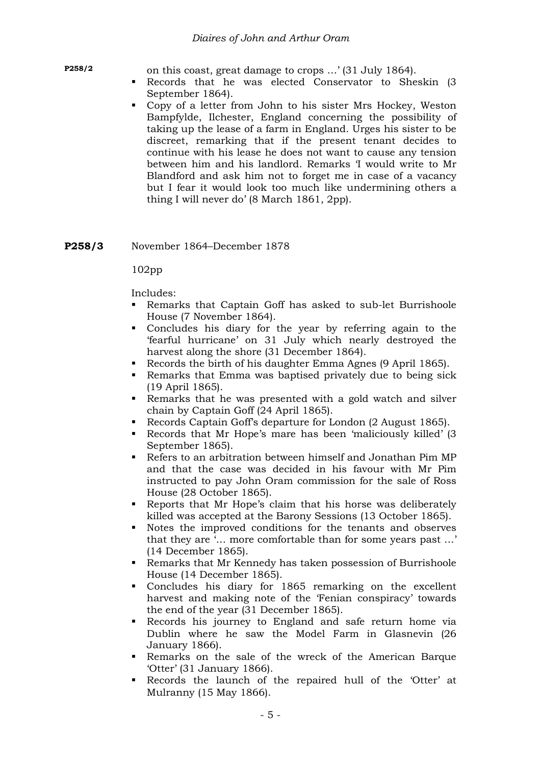**P258/2** on this coast, great damage to crops …' (31 July 1864).

- Records that he was elected Conservator to Sheskin (3 September 1864).
- Copy of a letter from John to his sister Mrs Hockey, Weston Bampfylde, Ilchester, England concerning the possibility of taking up the lease of a farm in England. Urges his sister to be discreet, remarking that if the present tenant decides to continue with his lease he does not want to cause any tension between him and his landlord. Remarks 'I would write to Mr Blandford and ask him not to forget me in case of a vacancy but I fear it would look too much like undermining others a thing I will never do' (8 March 1861, 2pp).

### **P258/3** November 1864–December 1878

#### 102pp

- Remarks that Captain Goff has asked to sub-let Burrishoole House (7 November 1864).
- Concludes his diary for the year by referring again to the 'fearful hurricane' on 31 July which nearly destroyed the harvest along the shore (31 December 1864).
- Records the birth of his daughter Emma Agnes (9 April 1865).
- Remarks that Emma was baptised privately due to being sick (19 April 1865).
- Remarks that he was presented with a gold watch and silver chain by Captain Goff (24 April 1865).
- Records Captain Goff's departure for London (2 August 1865).
- Records that Mr Hope's mare has been 'maliciously killed' (3 September 1865).
- Refers to an arbitration between himself and Jonathan Pim MP and that the case was decided in his favour with Mr Pim instructed to pay John Oram commission for the sale of Ross House (28 October 1865).
- Reports that Mr Hope's claim that his horse was deliberately killed was accepted at the Barony Sessions (13 October 1865).
- Notes the improved conditions for the tenants and observes that they are '… more comfortable than for some years past …' (14 December 1865).
- Remarks that Mr Kennedy has taken possession of Burrishoole House (14 December 1865).
- Concludes his diary for 1865 remarking on the excellent harvest and making note of the 'Fenian conspiracy' towards the end of the year (31 December 1865).
- Records his journey to England and safe return home via Dublin where he saw the Model Farm in Glasnevin (26 January 1866).
- Remarks on the sale of the wreck of the American Barque 'Otter' (31 January 1866).
- Records the launch of the repaired hull of the 'Otter' at Mulranny (15 May 1866).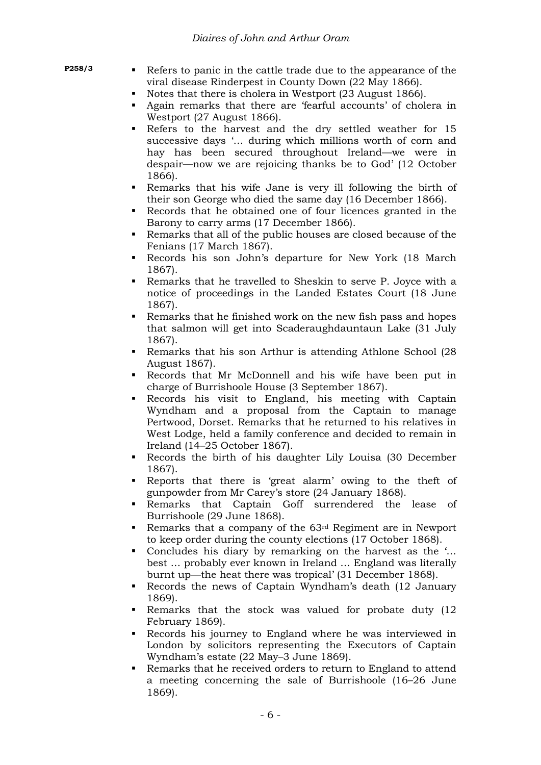|--|

- Refers to panic in the cattle trade due to the appearance of the viral disease Rinderpest in County Down (22 May 1866).
- Notes that there is cholera in Westport (23 August 1866).
- Again remarks that there are 'fearful accounts' of cholera in Westport (27 August 1866).
- Refers to the harvest and the dry settled weather for 15 successive days '… during which millions worth of corn and hay has been secured throughout Ireland—we were in despair—now we are rejoicing thanks be to God' (12 October 1866).
- Remarks that his wife Jane is very ill following the birth of their son George who died the same day (16 December 1866).
- Records that he obtained one of four licences granted in the Barony to carry arms (17 December 1866).
- Remarks that all of the public houses are closed because of the Fenians (17 March 1867).
- Records his son John's departure for New York (18 March 1867).
- Remarks that he travelled to Sheskin to serve P. Joyce with a notice of proceedings in the Landed Estates Court (18 June 1867).
- Remarks that he finished work on the new fish pass and hopes that salmon will get into Scaderaughdauntaun Lake (31 July 1867).
- Remarks that his son Arthur is attending Athlone School (28 August 1867).
- Records that Mr McDonnell and his wife have been put in charge of Burrishoole House (3 September 1867).
- Records his visit to England, his meeting with Captain Wyndham and a proposal from the Captain to manage Pertwood, Dorset. Remarks that he returned to his relatives in West Lodge, held a family conference and decided to remain in Ireland (14–25 October 1867).
- Records the birth of his daughter Lily Louisa (30 December 1867).
- Reports that there is 'great alarm' owing to the theft of gunpowder from Mr Carey's store (24 January 1868).
- Remarks that Captain Goff surrendered the lease of Burrishoole (29 June 1868).
- Remarks that a company of the 63rd Regiment are in Newport to keep order during the county elections (17 October 1868).
- Concludes his diary by remarking on the harvest as the '... best … probably ever known in Ireland … England was literally burnt up—the heat there was tropical' (31 December 1868).
- Records the news of Captain Wyndham's death (12 January 1869).
- Remarks that the stock was valued for probate duty (12 February 1869).
- Records his journey to England where he was interviewed in London by solicitors representing the Executors of Captain Wyndham's estate (22 May–3 June 1869).
- Remarks that he received orders to return to England to attend a meeting concerning the sale of Burrishoole (16–26 June 1869).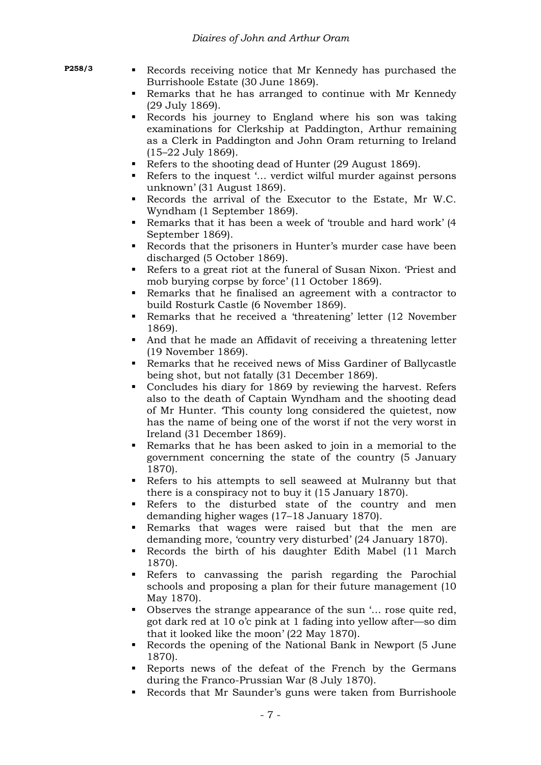- 
- **P258/3 Records** receiving notice that Mr Kennedy has purchased the Burrishoole Estate (30 June 1869).
	- Remarks that he has arranged to continue with Mr Kennedy (29 July 1869).
	- Records his journey to England where his son was taking examinations for Clerkship at Paddington, Arthur remaining as a Clerk in Paddington and John Oram returning to Ireland (15–22 July 1869).
	- Refers to the shooting dead of Hunter (29 August 1869).
	- Refers to the inquest '... verdict wilful murder against persons unknown' (31 August 1869).
	- Records the arrival of the Executor to the Estate, Mr W.C. Wyndham (1 September 1869).
	- Remarks that it has been a week of 'trouble and hard work' (4 September 1869).
	- Records that the prisoners in Hunter's murder case have been discharged (5 October 1869).
	- Refers to a great riot at the funeral of Susan Nixon. 'Priest and mob burying corpse by force' (11 October 1869).
	- Remarks that he finalised an agreement with a contractor to build Rosturk Castle (6 November 1869).
	- Remarks that he received a 'threatening' letter (12 November 1869).
	- And that he made an Affidavit of receiving a threatening letter (19 November 1869).
	- Remarks that he received news of Miss Gardiner of Ballycastle being shot, but not fatally (31 December 1869).
	- Concludes his diary for 1869 by reviewing the harvest. Refers also to the death of Captain Wyndham and the shooting dead of Mr Hunter. 'This county long considered the quietest, now has the name of being one of the worst if not the very worst in Ireland (31 December 1869).
	- Remarks that he has been asked to join in a memorial to the government concerning the state of the country (5 January 1870).
	- Refers to his attempts to sell seaweed at Mulranny but that there is a conspiracy not to buy it (15 January 1870).
	- Refers to the disturbed state of the country and men demanding higher wages (17–18 January 1870).
	- Remarks that wages were raised but that the men are demanding more, 'country very disturbed' (24 January 1870).
	- Records the birth of his daughter Edith Mabel (11 March 1870).
	- Refers to canvassing the parish regarding the Parochial schools and proposing a plan for their future management (10 May 1870).
	- Observes the strange appearance of the sun '... rose quite red, got dark red at 10 o'c pink at 1 fading into yellow after—so dim that it looked like the moon' (22 May 1870).
	- Records the opening of the National Bank in Newport (5 June 1870).
	- Reports news of the defeat of the French by the Germans during the Franco-Prussian War (8 July 1870).
	- Records that Mr Saunder's guns were taken from Burrishoole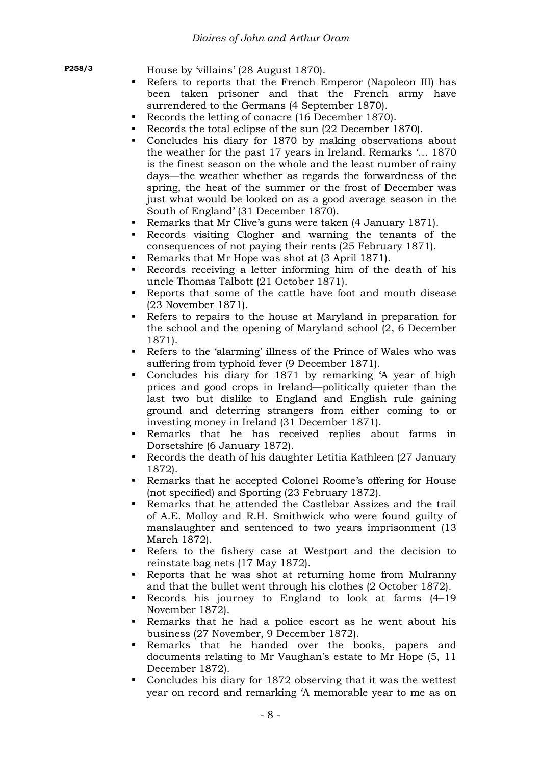**P258/3** House by 'villains' (28 August 1870).

- Refers to reports that the French Emperor (Napoleon III) has been taken prisoner and that the French army have surrendered to the Germans (4 September 1870).
- Records the letting of conacre (16 December 1870).
- Records the total eclipse of the sun (22 December 1870).
- Concludes his diary for 1870 by making observations about the weather for the past 17 years in Ireland. Remarks '… 1870 is the finest season on the whole and the least number of rainy days—the weather whether as regards the forwardness of the spring, the heat of the summer or the frost of December was just what would be looked on as a good average season in the South of England' (31 December 1870).
- Remarks that Mr Clive's guns were taken (4 January 1871).
- Records visiting Clogher and warning the tenants of the consequences of not paying their rents (25 February 1871).
- Remarks that Mr Hope was shot at (3 April 1871).
- Records receiving a letter informing him of the death of his uncle Thomas Talbott (21 October 1871).
- Reports that some of the cattle have foot and mouth disease (23 November 1871).
- Refers to repairs to the house at Maryland in preparation for the school and the opening of Maryland school (2, 6 December 1871).
- Refers to the 'alarming' illness of the Prince of Wales who was suffering from typhoid fever (9 December 1871).
- Concludes his diary for 1871 by remarking 'A year of high prices and good crops in Ireland—politically quieter than the last two but dislike to England and English rule gaining ground and deterring strangers from either coming to or investing money in Ireland (31 December 1871).
- Remarks that he has received replies about farms in Dorsetshire (6 January 1872).
- Records the death of his daughter Letitia Kathleen (27 January 1872).
- Remarks that he accepted Colonel Roome's offering for House (not specified) and Sporting (23 February 1872).
- Remarks that he attended the Castlebar Assizes and the trail of A.E. Molloy and R.H. Smithwick who were found guilty of manslaughter and sentenced to two years imprisonment (13 March 1872).
- Refers to the fishery case at Westport and the decision to reinstate bag nets (17 May 1872).
- Reports that he was shot at returning home from Mulranny and that the bullet went through his clothes (2 October 1872).
- Records his journey to England to look at farms (4–19 November 1872).
- Remarks that he had a police escort as he went about his business (27 November, 9 December 1872).
- Remarks that he handed over the books, papers and documents relating to Mr Vaughan's estate to Mr Hope (5, 11 December 1872).
- Concludes his diary for 1872 observing that it was the wettest year on record and remarking 'A memorable year to me as on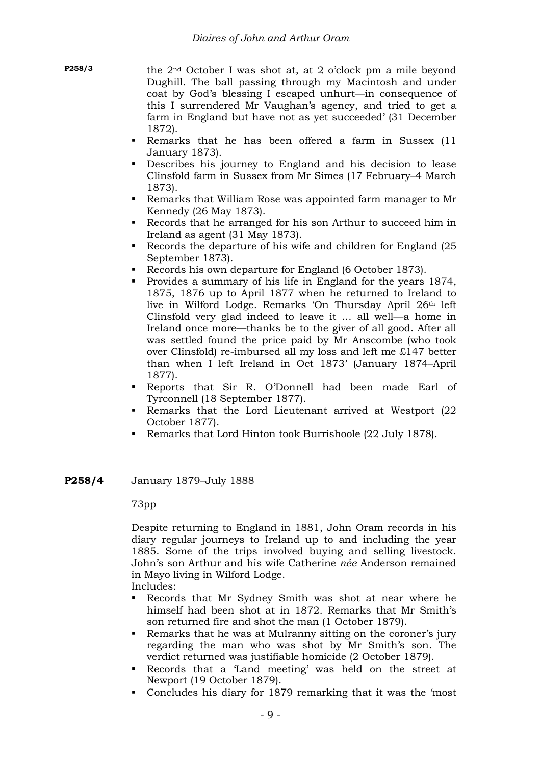**P258/3** the 2nd October I was shot at, at 2 o'clock pm a mile beyond Dughill. The ball passing through my Macintosh and under coat by God's blessing I escaped unhurt—in consequence of this I surrendered Mr Vaughan's agency, and tried to get a farm in England but have not as yet succeeded' (31 December 1872).

- Remarks that he has been offered a farm in Sussex (11 January 1873).
- Describes his journey to England and his decision to lease Clinsfold farm in Sussex from Mr Simes (17 February–4 March 1873).
- Remarks that William Rose was appointed farm manager to Mr Kennedy (26 May 1873).
- Records that he arranged for his son Arthur to succeed him in Ireland as agent (31 May 1873).
- Records the departure of his wife and children for England (25 September 1873).
- Records his own departure for England (6 October 1873).
- Provides a summary of his life in England for the years 1874, 1875, 1876 up to April 1877 when he returned to Ireland to live in Wilford Lodge. Remarks 'On Thursday April 26th left Clinsfold very glad indeed to leave it … all well—a home in Ireland once more—thanks be to the giver of all good. After all was settled found the price paid by Mr Anscombe (who took over Clinsfold) re-imbursed all my loss and left me £147 better than when I left Ireland in Oct 1873' (January 1874–April 1877).
- Reports that Sir R. O'Donnell had been made Earl of Tyrconnell (18 September 1877).
- Remarks that the Lord Lieutenant arrived at Westport (22 October 1877).
- Remarks that Lord Hinton took Burrishoole (22 July 1878).
- **P258/4** January 1879–July 1888

73pp

Despite returning to England in 1881, John Oram records in his diary regular journeys to Ireland up to and including the year 1885. Some of the trips involved buying and selling livestock. John's son Arthur and his wife Catherine *née* Anderson remained in Mayo living in Wilford Lodge.

- Includes:
- Records that Mr Sydney Smith was shot at near where he himself had been shot at in 1872. Remarks that Mr Smith's son returned fire and shot the man (1 October 1879).
- Remarks that he was at Mulranny sitting on the coroner's jury regarding the man who was shot by Mr Smith's son. The verdict returned was justifiable homicide (2 October 1879).
- Records that a 'Land meeting' was held on the street at Newport (19 October 1879).
- Concludes his diary for 1879 remarking that it was the 'most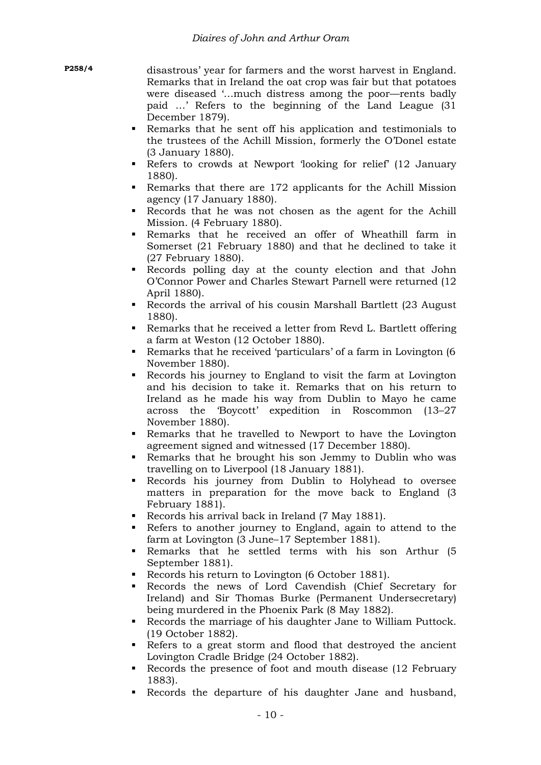disastrous' year for farmers and the worst harvest in England. Remarks that in Ireland the oat crop was fair but that potatoes were diseased '…much distress among the poor—rents badly paid …' Refers to the beginning of the Land League (31 December 1879).

- Remarks that he sent off his application and testimonials to the trustees of the Achill Mission, formerly the O'Donel estate (3 January 1880).
- Refers to crowds at Newport 'looking for relief' (12 January 1880).
- Remarks that there are 172 applicants for the Achill Mission agency (17 January 1880).
- Records that he was not chosen as the agent for the Achill Mission. (4 February 1880).
- Remarks that he received an offer of Wheathill farm in Somerset (21 February 1880) and that he declined to take it (27 February 1880).
- Records polling day at the county election and that John O'Connor Power and Charles Stewart Parnell were returned (12 April 1880).
- Records the arrival of his cousin Marshall Bartlett (23 August 1880).
- Remarks that he received a letter from Revd L. Bartlett offering a farm at Weston (12 October 1880).
- Remarks that he received 'particulars' of a farm in Lovington (6 November 1880).
- Records his journey to England to visit the farm at Lovington and his decision to take it. Remarks that on his return to Ireland as he made his way from Dublin to Mayo he came across the 'Boycott' expedition in Roscommon (13–27 November 1880).
- Remarks that he travelled to Newport to have the Lovington agreement signed and witnessed (17 December 1880).
- Remarks that he brought his son Jemmy to Dublin who was travelling on to Liverpool (18 January 1881).
- Records his journey from Dublin to Holyhead to oversee matters in preparation for the move back to England (3 February 1881).
- Records his arrival back in Ireland (7 May 1881).
- Refers to another journey to England, again to attend to the farm at Lovington (3 June–17 September 1881).
- Remarks that he settled terms with his son Arthur (5 September 1881).
- Records his return to Lovington (6 October 1881).
- Records the news of Lord Cavendish (Chief Secretary for Ireland) and Sir Thomas Burke (Permanent Undersecretary) being murdered in the Phoenix Park (8 May 1882).
- Records the marriage of his daughter Jane to William Puttock. (19 October 1882).
- Refers to a great storm and flood that destroyed the ancient Lovington Cradle Bridge (24 October 1882).
- Records the presence of foot and mouth disease (12 February 1883).
- Records the departure of his daughter Jane and husband,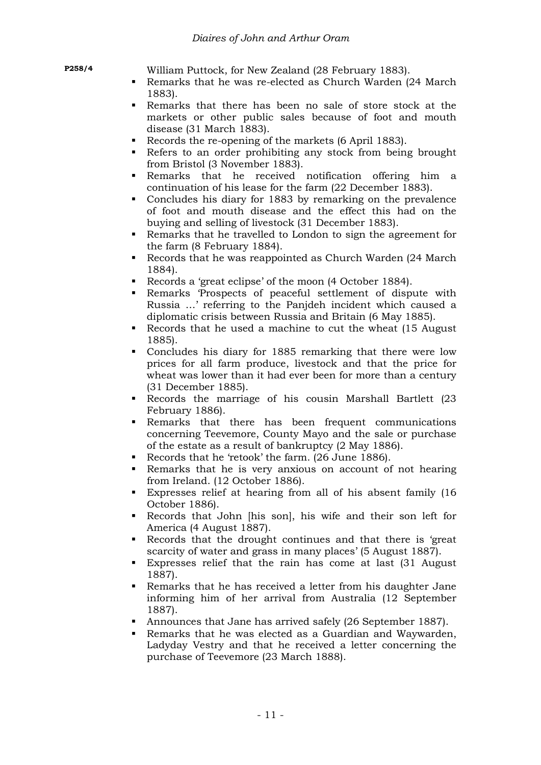|--|

William Puttock, for New Zealand (28 February 1883).

- Remarks that he was re-elected as Church Warden (24 March 1883).
- Remarks that there has been no sale of store stock at the markets or other public sales because of foot and mouth disease (31 March 1883).
- Records the re-opening of the markets (6 April 1883).
- Refers to an order prohibiting any stock from being brought from Bristol (3 November 1883).
- Remarks that he received notification offering him a continuation of his lease for the farm (22 December 1883).
- Concludes his diary for 1883 by remarking on the prevalence of foot and mouth disease and the effect this had on the buying and selling of livestock (31 December 1883).
- Remarks that he travelled to London to sign the agreement for the farm (8 February 1884).
- Records that he was reappointed as Church Warden (24 March 1884).
- Records a 'great eclipse' of the moon (4 October 1884).
- Remarks 'Prospects of peaceful settlement of dispute with Russia …' referring to the Panjdeh incident which caused a diplomatic crisis between Russia and Britain (6 May 1885).
- Records that he used a machine to cut the wheat (15 August) 1885).
- Concludes his diary for 1885 remarking that there were low prices for all farm produce, livestock and that the price for wheat was lower than it had ever been for more than a century (31 December 1885).
- Records the marriage of his cousin Marshall Bartlett (23 February 1886).
- Remarks that there has been frequent communications concerning Teevemore, County Mayo and the sale or purchase of the estate as a result of bankruptcy (2 May 1886).
- Records that he 'retook' the farm. (26 June 1886).
- Remarks that he is very anxious on account of not hearing from Ireland. (12 October 1886).
- Expresses relief at hearing from all of his absent family (16 October 1886).
- Records that John [his son], his wife and their son left for America (4 August 1887).
- Records that the drought continues and that there is 'great scarcity of water and grass in many places' (5 August 1887).
- Expresses relief that the rain has come at last (31 August 1887).
- Remarks that he has received a letter from his daughter Jane informing him of her arrival from Australia (12 September 1887).
- Announces that Jane has arrived safely (26 September 1887).
- Remarks that he was elected as a Guardian and Waywarden, Ladyday Vestry and that he received a letter concerning the purchase of Teevemore (23 March 1888).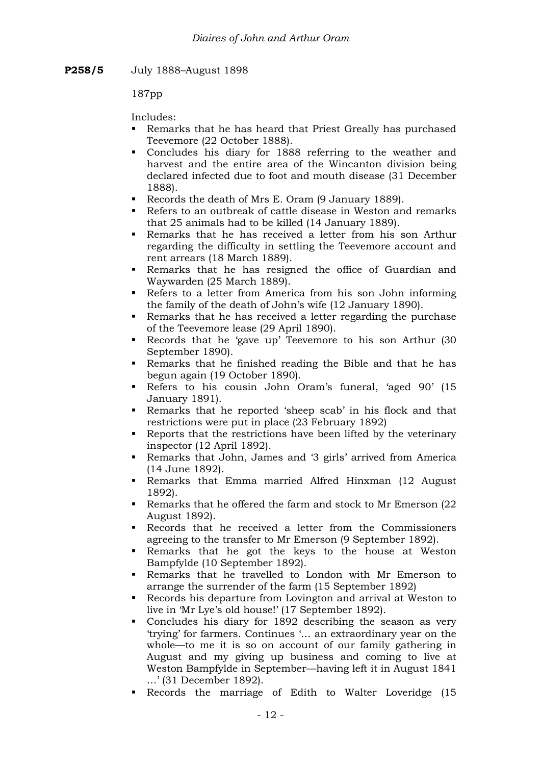**P258/5** July 1888–August 1898

187pp

- Remarks that he has heard that Priest Greally has purchased Teevemore (22 October 1888).
- Concludes his diary for 1888 referring to the weather and harvest and the entire area of the Wincanton division being declared infected due to foot and mouth disease (31 December 1888).
- Records the death of Mrs E. Oram (9 January 1889).
- Refers to an outbreak of cattle disease in Weston and remarks that 25 animals had to be killed (14 January 1889).
- Remarks that he has received a letter from his son Arthur regarding the difficulty in settling the Teevemore account and rent arrears (18 March 1889).
- Remarks that he has resigned the office of Guardian and Waywarden (25 March 1889).
- Refers to a letter from America from his son John informing the family of the death of John's wife (12 January 1890).
- Remarks that he has received a letter regarding the purchase of the Teevemore lease (29 April 1890).
- Records that he 'gave up' Teevemore to his son Arthur (30 September 1890).
- Remarks that he finished reading the Bible and that he has begun again (19 October 1890).
- Refers to his cousin John Oram's funeral, 'aged 90' (15 January 1891).
- Remarks that he reported 'sheep scab' in his flock and that restrictions were put in place (23 February 1892)
- Reports that the restrictions have been lifted by the veterinary inspector (12 April 1892).
- Remarks that John, James and '3 girls' arrived from America (14 June 1892).
- Remarks that Emma married Alfred Hinxman (12 August 1892).
- Remarks that he offered the farm and stock to Mr Emerson (22 August 1892).
- Records that he received a letter from the Commissioners agreeing to the transfer to Mr Emerson (9 September 1892).
- Remarks that he got the keys to the house at Weston Bampfylde (10 September 1892).
- Remarks that he travelled to London with Mr Emerson to arrange the surrender of the farm (15 September 1892)
- Records his departure from Lovington and arrival at Weston to live in 'Mr Lye's old house!' (17 September 1892).
- Concludes his diary for 1892 describing the season as very 'trying' for farmers. Continues '… an extraordinary year on the whole—to me it is so on account of our family gathering in August and my giving up business and coming to live at Weston Bampfylde in September—having left it in August 1841 …' (31 December 1892).
- Records the marriage of Edith to Walter Loveridge (15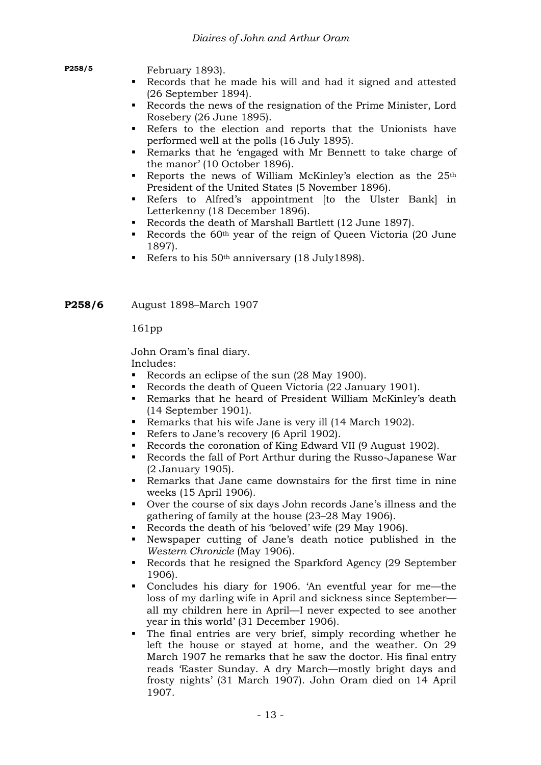**P258/5** February 1893).

- Records that he made his will and had it signed and attested (26 September 1894).
- Records the news of the resignation of the Prime Minister, Lord Rosebery (26 June 1895).
- Refers to the election and reports that the Unionists have performed well at the polls (16 July 1895).
- Remarks that he 'engaged with Mr Bennett to take charge of the manor' (10 October 1896).
- Reports the news of William McKinley's election as the  $25<sup>th</sup>$ President of the United States (5 November 1896).
- Refers to Alfred's appointment [to the Ulster Bank] in Letterkenny (18 December 1896).
- Records the death of Marshall Bartlett (12 June 1897).
- Records the 60<sup>th</sup> year of the reign of Queen Victoria (20 June 1897).
- Refers to his  $50<sup>th</sup>$  anniversary (18 July1898).

**P258/6** August 1898–March 1907

161pp

John Oram's final diary.

- Records an eclipse of the sun (28 May 1900).
- Records the death of Queen Victoria (22 January 1901).
- Remarks that he heard of President William McKinley's death (14 September 1901).
- Remarks that his wife Jane is very ill (14 March 1902).
- Refers to Jane's recovery (6 April 1902).
- Records the coronation of King Edward VII (9 August 1902).
- Records the fall of Port Arthur during the Russo-Japanese War (2 January 1905).
- Remarks that Jane came downstairs for the first time in nine weeks (15 April 1906).
- Over the course of six days John records Jane's illness and the gathering of family at the house (23–28 May 1906).
- Records the death of his 'beloved' wife (29 May 1906).
- Newspaper cutting of Jane's death notice published in the *Western Chronicle* (May 1906).
- Records that he resigned the Sparkford Agency (29 September 1906).
- Concludes his diary for 1906. 'An eventful year for me—the loss of my darling wife in April and sickness since September all my children here in April—I never expected to see another year in this world' (31 December 1906).
- The final entries are very brief, simply recording whether he left the house or stayed at home, and the weather. On 29 March 1907 he remarks that he saw the doctor. His final entry reads 'Easter Sunday. A dry March—mostly bright days and frosty nights' (31 March 1907). John Oram died on 14 April 1907.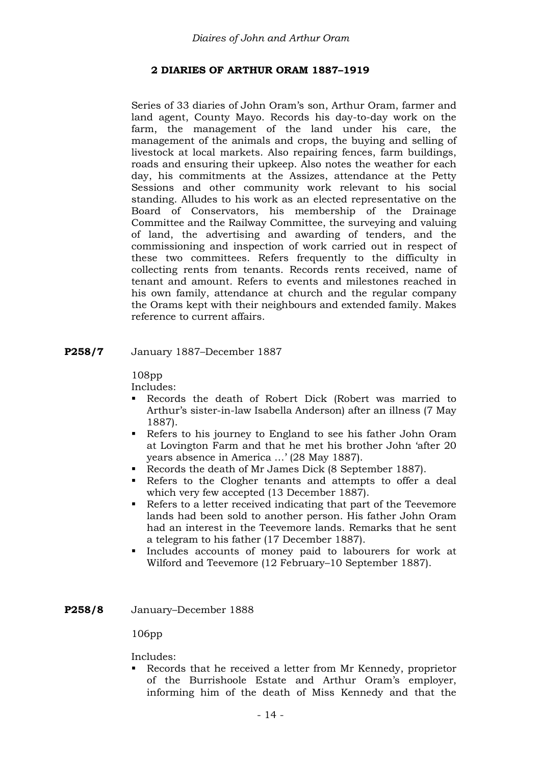# **2 DIARIES OF ARTHUR ORAM 1887–1919**

Series of 33 diaries of John Oram's son, Arthur Oram, farmer and land agent, County Mayo. Records his day-to-day work on the farm, the management of the land under his care, the management of the animals and crops, the buying and selling of livestock at local markets. Also repairing fences, farm buildings, roads and ensuring their upkeep. Also notes the weather for each day, his commitments at the Assizes, attendance at the Petty Sessions and other community work relevant to his social standing. Alludes to his work as an elected representative on the Board of Conservators, his membership of the Drainage Committee and the Railway Committee, the surveying and valuing of land, the advertising and awarding of tenders, and the commissioning and inspection of work carried out in respect of these two committees. Refers frequently to the difficulty in collecting rents from tenants. Records rents received, name of tenant and amount. Refers to events and milestones reached in his own family, attendance at church and the regular company the Orams kept with their neighbours and extended family. Makes reference to current affairs.

**P258/7** January 1887–December 1887

108pp

Includes:

- Records the death of Robert Dick (Robert was married to Arthur's sister-in-law Isabella Anderson) after an illness (7 May 1887).
- Refers to his journey to England to see his father John Oram at Lovington Farm and that he met his brother John 'after 20 years absence in America …' (28 May 1887).
- Records the death of Mr James Dick (8 September 1887).
- Refers to the Clogher tenants and attempts to offer a deal which very few accepted (13 December 1887).
- Refers to a letter received indicating that part of the Teevemore lands had been sold to another person. His father John Oram had an interest in the Teevemore lands. Remarks that he sent a telegram to his father (17 December 1887).
- Includes accounts of money paid to labourers for work at Wilford and Teevemore (12 February–10 September 1887).
- **P258/8** January–December 1888

106pp

Includes:

 Records that he received a letter from Mr Kennedy, proprietor of the Burrishoole Estate and Arthur Oram's employer, informing him of the death of Miss Kennedy and that the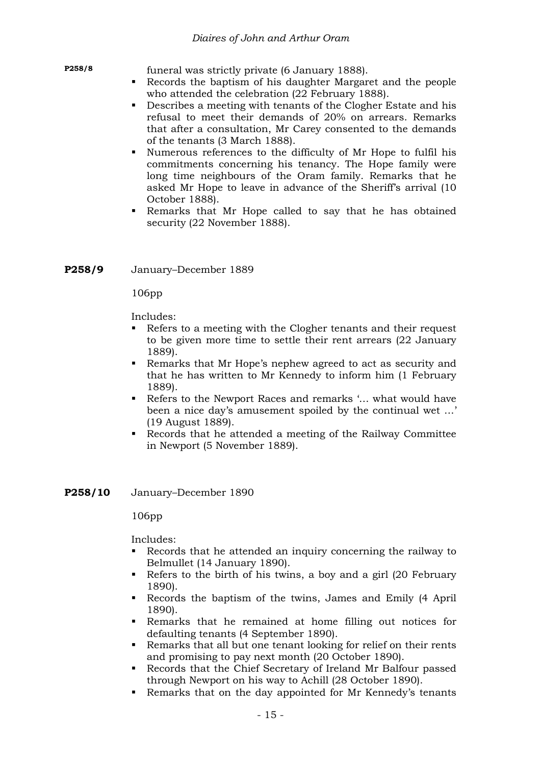funeral was strictly private (6 January 1888).

- Records the baptism of his daughter Margaret and the people who attended the celebration (22 February 1888).
- Describes a meeting with tenants of the Clogher Estate and his refusal to meet their demands of 20% on arrears. Remarks that after a consultation, Mr Carey consented to the demands of the tenants (3 March 1888).
- Numerous references to the difficulty of Mr Hope to fulfil his commitments concerning his tenancy. The Hope family were long time neighbours of the Oram family. Remarks that he asked Mr Hope to leave in advance of the Sheriff's arrival (10 October 1888).
- Remarks that Mr Hope called to say that he has obtained security (22 November 1888).

**P258/9** January–December 1889

106pp

Includes:

- Refers to a meeting with the Clogher tenants and their request to be given more time to settle their rent arrears (22 January 1889).
- Remarks that Mr Hope's nephew agreed to act as security and that he has written to Mr Kennedy to inform him (1 February 1889).
- Refers to the Newport Races and remarks '… what would have been a nice day's amusement spoiled by the continual wet …' (19 August 1889).
- Records that he attended a meeting of the Railway Committee in Newport (5 November 1889).
- **P258/10** January–December 1890

106pp

- Records that he attended an inquiry concerning the railway to Belmullet (14 January 1890).
- Refers to the birth of his twins, a boy and a girl (20 February 1890).
- Records the baptism of the twins, James and Emily (4 April 1890).
- Remarks that he remained at home filling out notices for defaulting tenants (4 September 1890).
- Remarks that all but one tenant looking for relief on their rents and promising to pay next month (20 October 1890).
- Records that the Chief Secretary of Ireland Mr Balfour passed through Newport on his way to Achill (28 October 1890).
- Remarks that on the day appointed for Mr Kennedy's tenants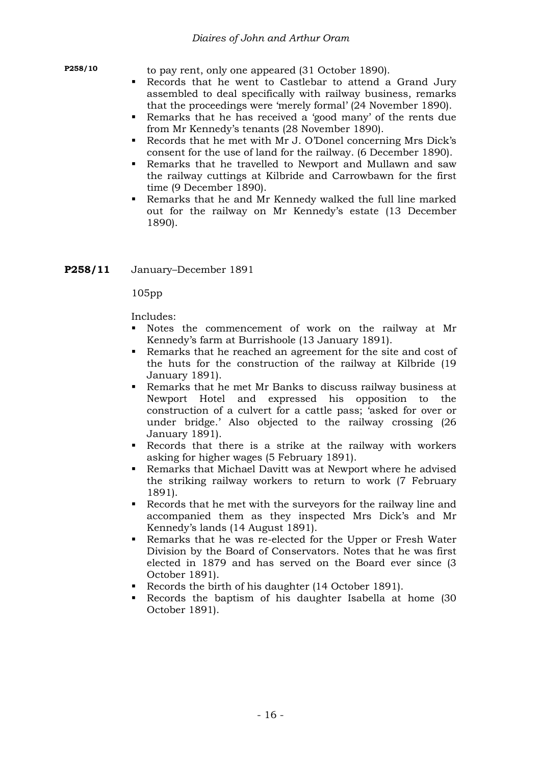**P258/10** to pay rent, only one appeared (31 October 1890).

- Records that he went to Castlebar to attend a Grand Jury assembled to deal specifically with railway business, remarks that the proceedings were 'merely formal' (24 November 1890).
- Remarks that he has received a 'good many' of the rents due from Mr Kennedy's tenants (28 November 1890).
- Records that he met with Mr J. O'Donel concerning Mrs Dick's consent for the use of land for the railway. (6 December 1890).
- Remarks that he travelled to Newport and Mullawn and saw the railway cuttings at Kilbride and Carrowbawn for the first time (9 December 1890).
- Remarks that he and Mr Kennedy walked the full line marked out for the railway on Mr Kennedy's estate (13 December 1890).
- **P258/11** January–December 1891

105pp

- Notes the commencement of work on the railway at Mr Kennedy's farm at Burrishoole (13 January 1891).
- Remarks that he reached an agreement for the site and cost of the huts for the construction of the railway at Kilbride (19 January 1891).
- Remarks that he met Mr Banks to discuss railway business at Newport Hotel and expressed his opposition to the construction of a culvert for a cattle pass; 'asked for over or under bridge.' Also objected to the railway crossing (26 January 1891).
- Records that there is a strike at the railway with workers asking for higher wages (5 February 1891).
- Remarks that Michael Davitt was at Newport where he advised the striking railway workers to return to work (7 February 1891).
- Records that he met with the surveyors for the railway line and accompanied them as they inspected Mrs Dick's and Mr Kennedy's lands (14 August 1891).
- Remarks that he was re-elected for the Upper or Fresh Water Division by the Board of Conservators. Notes that he was first elected in 1879 and has served on the Board ever since (3 October 1891).
- Records the birth of his daughter (14 October 1891).
- Records the baptism of his daughter Isabella at home (30 October 1891).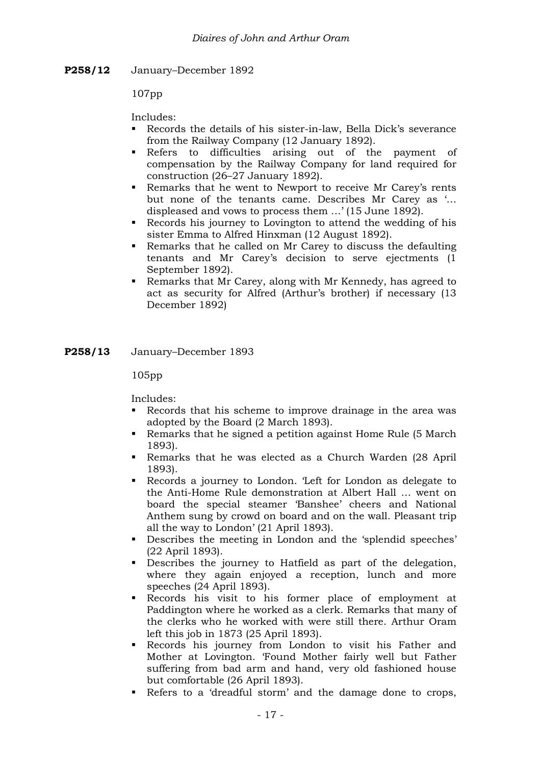**P258/12** January–December 1892

107pp

Includes:

- Records the details of his sister-in-law, Bella Dick's severance from the Railway Company (12 January 1892).
- Refers to difficulties arising out of the payment of compensation by the Railway Company for land required for construction (26–27 January 1892).
- Remarks that he went to Newport to receive Mr Carey's rents but none of the tenants came. Describes Mr Carey as '… displeased and vows to process them …' (15 June 1892).
- Records his journey to Lovington to attend the wedding of his sister Emma to Alfred Hinxman (12 August 1892).
- Remarks that he called on Mr Carey to discuss the defaulting tenants and Mr Carey's decision to serve ejectments (1 September 1892).
- Remarks that Mr Carey, along with Mr Kennedy, has agreed to act as security for Alfred (Arthur's brother) if necessary (13 December 1892)

**P258/13** January–December 1893

105pp

- Records that his scheme to improve drainage in the area was adopted by the Board (2 March 1893).
- Remarks that he signed a petition against Home Rule (5 March 1893).
- Remarks that he was elected as a Church Warden (28 April 1893).
- Records a journey to London. 'Left for London as delegate to the Anti-Home Rule demonstration at Albert Hall … went on board the special steamer 'Banshee' cheers and National Anthem sung by crowd on board and on the wall. Pleasant trip all the way to London' (21 April 1893).
- Describes the meeting in London and the 'splendid speeches' (22 April 1893).
- Describes the journey to Hatfield as part of the delegation, where they again enjoyed a reception, lunch and more speeches (24 April 1893).
- Records his visit to his former place of employment at Paddington where he worked as a clerk. Remarks that many of the clerks who he worked with were still there. Arthur Oram left this job in 1873 (25 April 1893).
- Records his journey from London to visit his Father and Mother at Lovington. 'Found Mother fairly well but Father suffering from bad arm and hand, very old fashioned house but comfortable (26 April 1893).
- Refers to a 'dreadful storm' and the damage done to crops,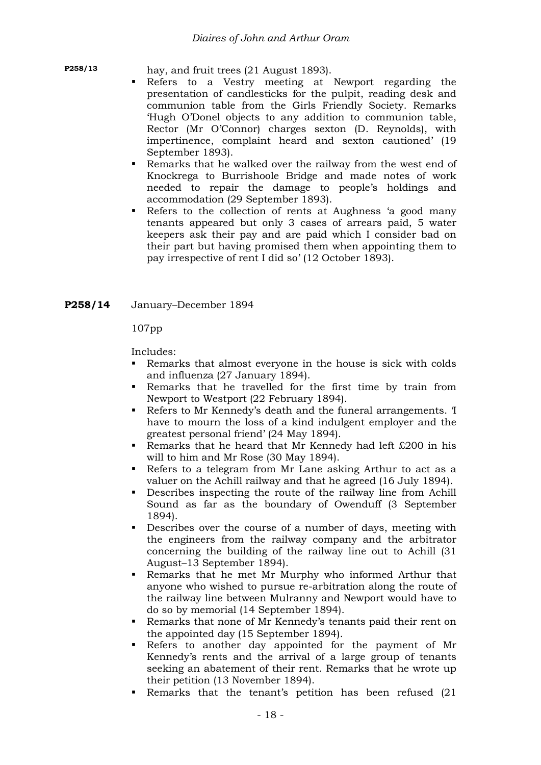**P258/13** hay, and fruit trees (21 August 1893).

- Refers to a Vestry meeting at Newport regarding the presentation of candlesticks for the pulpit, reading desk and communion table from the Girls Friendly Society. Remarks 'Hugh O'Donel objects to any addition to communion table, Rector (Mr O'Connor) charges sexton (D. Reynolds), with impertinence, complaint heard and sexton cautioned' (19 September 1893).
- Remarks that he walked over the railway from the west end of Knockrega to Burrishoole Bridge and made notes of work needed to repair the damage to people's holdings and accommodation (29 September 1893).
- Refers to the collection of rents at Aughness 'a good many tenants appeared but only 3 cases of arrears paid, 5 water keepers ask their pay and are paid which I consider bad on their part but having promised them when appointing them to pay irrespective of rent I did so' (12 October 1893).
- **P258/14** January–December 1894

107pp

- Remarks that almost everyone in the house is sick with colds and influenza (27 January 1894).
- Remarks that he travelled for the first time by train from Newport to Westport (22 February 1894).
- Refers to Mr Kennedy's death and the funeral arrangements. 'I have to mourn the loss of a kind indulgent employer and the greatest personal friend' (24 May 1894).
- Remarks that he heard that Mr Kennedy had left  $£200$  in his will to him and Mr Rose (30 May 1894).
- Refers to a telegram from Mr Lane asking Arthur to act as a valuer on the Achill railway and that he agreed (16 July 1894).
- Describes inspecting the route of the railway line from Achill Sound as far as the boundary of Owenduff (3 September 1894).
- Describes over the course of a number of days, meeting with the engineers from the railway company and the arbitrator concerning the building of the railway line out to Achill (31 August–13 September 1894).
- Remarks that he met Mr Murphy who informed Arthur that anyone who wished to pursue re-arbitration along the route of the railway line between Mulranny and Newport would have to do so by memorial (14 September 1894).
- Remarks that none of Mr Kennedy's tenants paid their rent on the appointed day (15 September 1894).
- Refers to another day appointed for the payment of Mr Kennedy's rents and the arrival of a large group of tenants seeking an abatement of their rent. Remarks that he wrote up their petition (13 November 1894).
- Remarks that the tenant's petition has been refused (21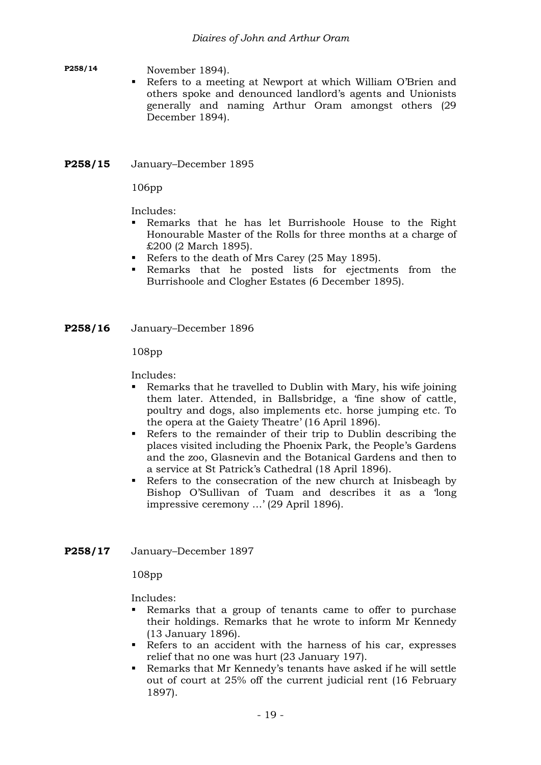#### **P258/14** November 1894).

 Refers to a meeting at Newport at which William O'Brien and others spoke and denounced landlord's agents and Unionists generally and naming Arthur Oram amongst others (29 December 1894).

# **P258/15** January–December 1895

106pp

Includes:

- Remarks that he has let Burrishoole House to the Right Honourable Master of the Rolls for three months at a charge of £200 (2 March 1895).
- Refers to the death of Mrs Carey (25 May 1895).
- Remarks that he posted lists for ejectments from the Burrishoole and Clogher Estates (6 December 1895).

**P258/16** January–December 1896

108pp

Includes:

- Remarks that he travelled to Dublin with Mary, his wife joining them later. Attended, in Ballsbridge, a 'fine show of cattle, poultry and dogs, also implements etc. horse jumping etc. To the opera at the Gaiety Theatre' (16 April 1896).
- Refers to the remainder of their trip to Dublin describing the places visited including the Phoenix Park, the People's Gardens and the zoo, Glasnevin and the Botanical Gardens and then to a service at St Patrick's Cathedral (18 April 1896).
- Refers to the consecration of the new church at Inisbeagh by Bishop O'Sullivan of Tuam and describes it as a 'long impressive ceremony …' (29 April 1896).

### **P258/17** January–December 1897

108pp

- Remarks that a group of tenants came to offer to purchase their holdings. Remarks that he wrote to inform Mr Kennedy (13 January 1896).
- Refers to an accident with the harness of his car, expresses relief that no one was hurt (23 January 197).
- Remarks that Mr Kennedy's tenants have asked if he will settle out of court at 25% off the current judicial rent (16 February 1897).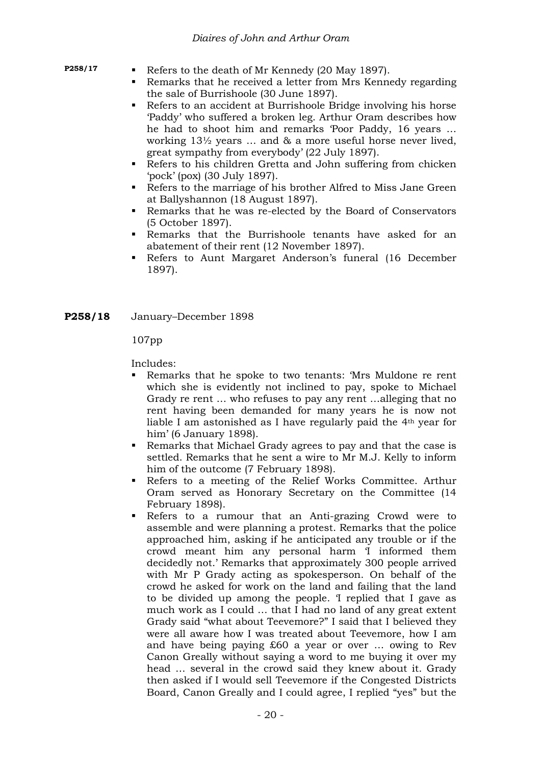- **P258/17** Refers to the death of Mr Kennedy (20 May 1897).
	- Remarks that he received a letter from Mrs Kennedy regarding the sale of Burrishoole (30 June 1897).
	- Refers to an accident at Burrishoole Bridge involving his horse 'Paddy' who suffered a broken leg. Arthur Oram describes how he had to shoot him and remarks 'Poor Paddy, 16 years … working 13½ years … and & a more useful horse never lived, great sympathy from everybody' (22 July 1897).
	- Refers to his children Gretta and John suffering from chicken 'pock' (pox) (30 July 1897).
	- Refers to the marriage of his brother Alfred to Miss Jane Green at Ballyshannon (18 August 1897).
	- Remarks that he was re-elected by the Board of Conservators (5 October 1897).
	- Remarks that the Burrishoole tenants have asked for an abatement of their rent (12 November 1897).
	- Refers to Aunt Margaret Anderson's funeral (16 December 1897).

#### **P258/18** January–December 1898

#### 107pp

- Remarks that he spoke to two tenants: 'Mrs Muldone re rent which she is evidently not inclined to pay, spoke to Michael Grady re rent … who refuses to pay any rent …alleging that no rent having been demanded for many years he is now not liable I am astonished as I have regularly paid the 4th year for him' (6 January 1898).
- Remarks that Michael Grady agrees to pay and that the case is settled. Remarks that he sent a wire to Mr M.J. Kelly to inform him of the outcome (7 February 1898).
- Refers to a meeting of the Relief Works Committee. Arthur Oram served as Honorary Secretary on the Committee (14 February 1898).
- Refers to a rumour that an Anti-grazing Crowd were to assemble and were planning a protest. Remarks that the police approached him, asking if he anticipated any trouble or if the crowd meant him any personal harm 'I informed them decidedly not.' Remarks that approximately 300 people arrived with Mr P Grady acting as spokesperson. On behalf of the crowd he asked for work on the land and failing that the land to be divided up among the people. 'I replied that I gave as much work as I could … that I had no land of any great extent Grady said "what about Teevemore?" I said that I believed they were all aware how I was treated about Teevemore, how I am and have being paying £60 a year or over … owing to Rev Canon Greally without saying a word to me buying it over my head … several in the crowd said they knew about it. Grady then asked if I would sell Teevemore if the Congested Districts Board, Canon Greally and I could agree, I replied "yes" but the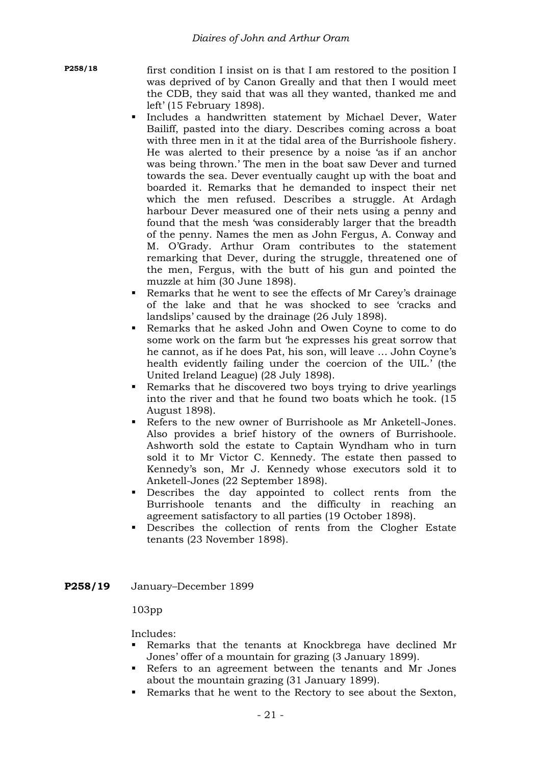**P258/18** first condition I insist on is that I am restored to the position I was deprived of by Canon Greally and that then I would meet the CDB, they said that was all they wanted, thanked me and left' (15 February 1898).

- Includes a handwritten statement by Michael Dever, Water Bailiff, pasted into the diary. Describes coming across a boat with three men in it at the tidal area of the Burrishoole fishery. He was alerted to their presence by a noise 'as if an anchor was being thrown.' The men in the boat saw Dever and turned towards the sea. Dever eventually caught up with the boat and boarded it. Remarks that he demanded to inspect their net which the men refused. Describes a struggle. At Ardagh harbour Dever measured one of their nets using a penny and found that the mesh 'was considerably larger that the breadth of the penny. Names the men as John Fergus, A. Conway and M. O'Grady. Arthur Oram contributes to the statement remarking that Dever, during the struggle, threatened one of the men, Fergus, with the butt of his gun and pointed the muzzle at him (30 June 1898).
- Remarks that he went to see the effects of Mr Carey's drainage of the lake and that he was shocked to see 'cracks and landslips' caused by the drainage (26 July 1898).
- Remarks that he asked John and Owen Coyne to come to do some work on the farm but 'he expresses his great sorrow that he cannot, as if he does Pat, his son, will leave … John Coyne's health evidently failing under the coercion of the UIL.' (the United Ireland League) (28 July 1898).
- Remarks that he discovered two boys trying to drive yearlings into the river and that he found two boats which he took. (15 August 1898).
- Refers to the new owner of Burrishoole as Mr Anketell-Jones. Also provides a brief history of the owners of Burrishoole. Ashworth sold the estate to Captain Wyndham who in turn sold it to Mr Victor C. Kennedy. The estate then passed to Kennedy's son, Mr J. Kennedy whose executors sold it to Anketell-Jones (22 September 1898).
- Describes the day appointed to collect rents from the Burrishoole tenants and the difficulty in reaching an agreement satisfactory to all parties (19 October 1898).
- Describes the collection of rents from the Clogher Estate tenants (23 November 1898).
- **P258/19** January–December 1899

### 103pp

- Remarks that the tenants at Knockbrega have declined Mr Jones' offer of a mountain for grazing (3 January 1899).
- Refers to an agreement between the tenants and Mr Jones about the mountain grazing (31 January 1899).
- Remarks that he went to the Rectory to see about the Sexton,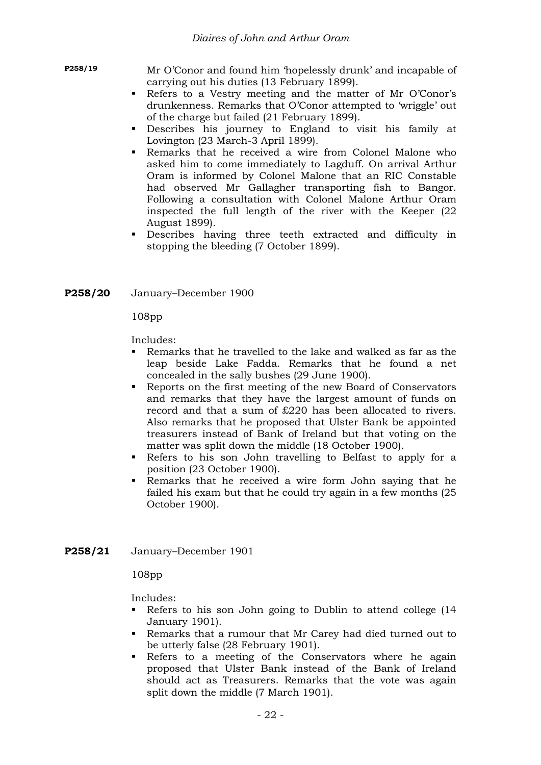**P258/19** Mr O'Conor and found him 'hopelessly drunk' and incapable of carrying out his duties (13 February 1899).

- Refers to a Vestry meeting and the matter of Mr O'Conor's drunkenness. Remarks that O'Conor attempted to 'wriggle' out of the charge but failed (21 February 1899).
- Describes his journey to England to visit his family at Lovington (23 March-3 April 1899).
- Remarks that he received a wire from Colonel Malone who asked him to come immediately to Lagduff. On arrival Arthur Oram is informed by Colonel Malone that an RIC Constable had observed Mr Gallagher transporting fish to Bangor. Following a consultation with Colonel Malone Arthur Oram inspected the full length of the river with the Keeper (22 August 1899).
- Describes having three teeth extracted and difficulty in stopping the bleeding (7 October 1899).

#### **P258/20** January–December 1900

108pp

Includes:

- Remarks that he travelled to the lake and walked as far as the leap beside Lake Fadda. Remarks that he found a net concealed in the sally bushes (29 June 1900).
- Reports on the first meeting of the new Board of Conservators and remarks that they have the largest amount of funds on record and that a sum of £220 has been allocated to rivers. Also remarks that he proposed that Ulster Bank be appointed treasurers instead of Bank of Ireland but that voting on the matter was split down the middle (18 October 1900).
- Refers to his son John travelling to Belfast to apply for a position (23 October 1900).
- Remarks that he received a wire form John saying that he failed his exam but that he could try again in a few months (25 October 1900).
- **P258/21** January–December 1901

108pp

- Refers to his son John going to Dublin to attend college (14 January 1901).
- Remarks that a rumour that Mr Carey had died turned out to be utterly false (28 February 1901).
- Refers to a meeting of the Conservators where he again proposed that Ulster Bank instead of the Bank of Ireland should act as Treasurers. Remarks that the vote was again split down the middle (7 March 1901).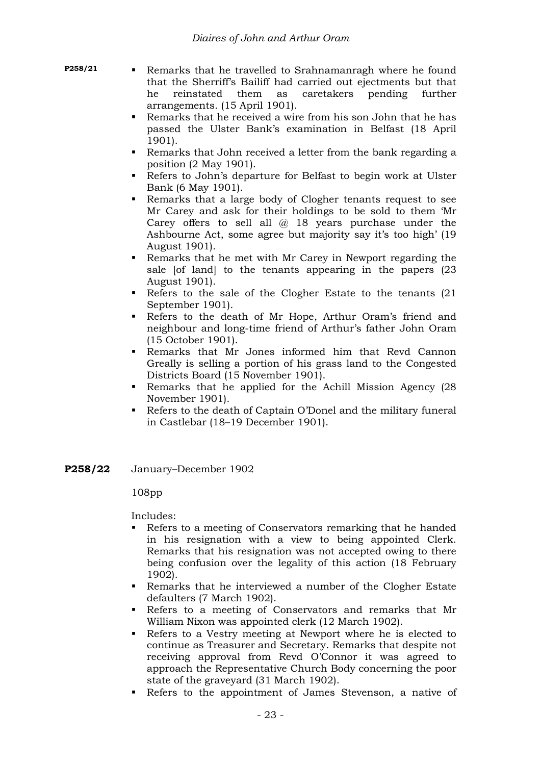- 
- **P258/21 Remarks that he travelled to Srahnamanragh where he found** that the Sherriff's Bailiff had carried out ejectments but that he reinstated them as caretakers pending further arrangements. (15 April 1901).
	- Remarks that he received a wire from his son John that he has passed the Ulster Bank's examination in Belfast (18 April 1901).
	- Remarks that John received a letter from the bank regarding a position (2 May 1901).
	- Refers to John's departure for Belfast to begin work at Ulster Bank (6 May 1901).
	- Remarks that a large body of Clogher tenants request to see Mr Carey and ask for their holdings to be sold to them 'Mr Carey offers to sell all @ 18 years purchase under the Ashbourne Act, some agree but majority say it's too high' (19 August 1901).
	- Remarks that he met with Mr Carey in Newport regarding the sale [of land] to the tenants appearing in the papers (23 August 1901).
	- Refers to the sale of the Clogher Estate to the tenants (21 September 1901).
	- Refers to the death of Mr Hope, Arthur Oram's friend and neighbour and long-time friend of Arthur's father John Oram (15 October 1901).
	- Remarks that Mr Jones informed him that Revd Cannon Greally is selling a portion of his grass land to the Congested Districts Board (15 November 1901).
	- Remarks that he applied for the Achill Mission Agency (28 November 1901).
	- Refers to the death of Captain O'Donel and the military funeral in Castlebar (18–19 December 1901).
- **P258/22** January–December 1902

### 108pp

- Refers to a meeting of Conservators remarking that he handed in his resignation with a view to being appointed Clerk. Remarks that his resignation was not accepted owing to there being confusion over the legality of this action (18 February 1902).
- Remarks that he interviewed a number of the Clogher Estate defaulters (7 March 1902).
- Refers to a meeting of Conservators and remarks that Mr William Nixon was appointed clerk (12 March 1902).
- Refers to a Vestry meeting at Newport where he is elected to continue as Treasurer and Secretary. Remarks that despite not receiving approval from Revd O'Connor it was agreed to approach the Representative Church Body concerning the poor state of the graveyard (31 March 1902).
- Refers to the appointment of James Stevenson, a native of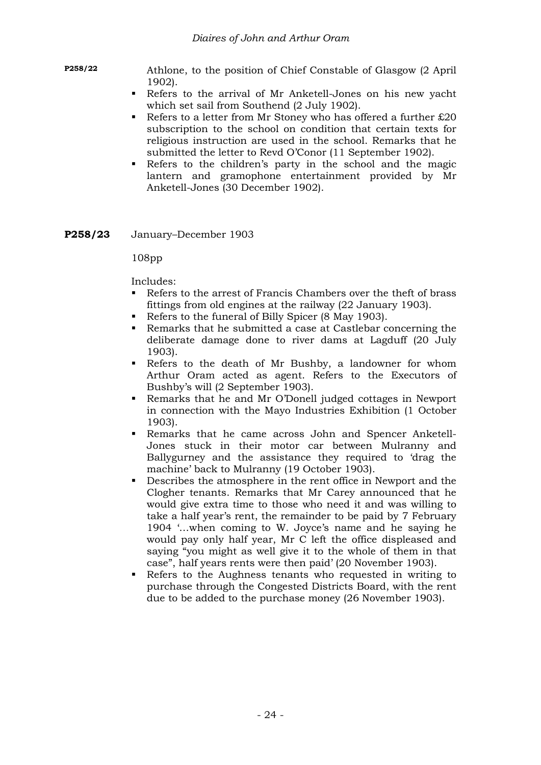**P258/22** Athlone, to the position of Chief Constable of Glasgow (2 April 1902).

- Refers to the arrival of Mr Anketell-Jones on his new yacht which set sail from Southend (2 July 1902).
- Refers to a letter from Mr Stoney who has offered a further  $£20$ subscription to the school on condition that certain texts for religious instruction are used in the school. Remarks that he submitted the letter to Revd O'Conor (11 September 1902).
- Refers to the children's party in the school and the magic lantern and gramophone entertainment provided by Mr Anketell-Jones (30 December 1902).
- **P258/23** January–December 1903

108pp

- Refers to the arrest of Francis Chambers over the theft of brass fittings from old engines at the railway (22 January 1903).
- Refers to the funeral of Billy Spicer (8 May 1903).
- Remarks that he submitted a case at Castlebar concerning the deliberate damage done to river dams at Lagduff (20 July 1903).
- Refers to the death of Mr Bushby, a landowner for whom Arthur Oram acted as agent. Refers to the Executors of Bushby's will (2 September 1903).
- Remarks that he and Mr O'Donell judged cottages in Newport in connection with the Mayo Industries Exhibition (1 October 1903).
- Remarks that he came across John and Spencer Anketell-Jones stuck in their motor car between Mulranny and Ballygurney and the assistance they required to 'drag the machine' back to Mulranny (19 October 1903).
- Describes the atmosphere in the rent office in Newport and the Clogher tenants. Remarks that Mr Carey announced that he would give extra time to those who need it and was willing to take a half year's rent, the remainder to be paid by 7 February 1904 '…when coming to W. Joyce's name and he saying he would pay only half year, Mr C left the office displeased and saying "you might as well give it to the whole of them in that case", half years rents were then paid' (20 November 1903).
- Refers to the Aughness tenants who requested in writing to purchase through the Congested Districts Board, with the rent due to be added to the purchase money (26 November 1903).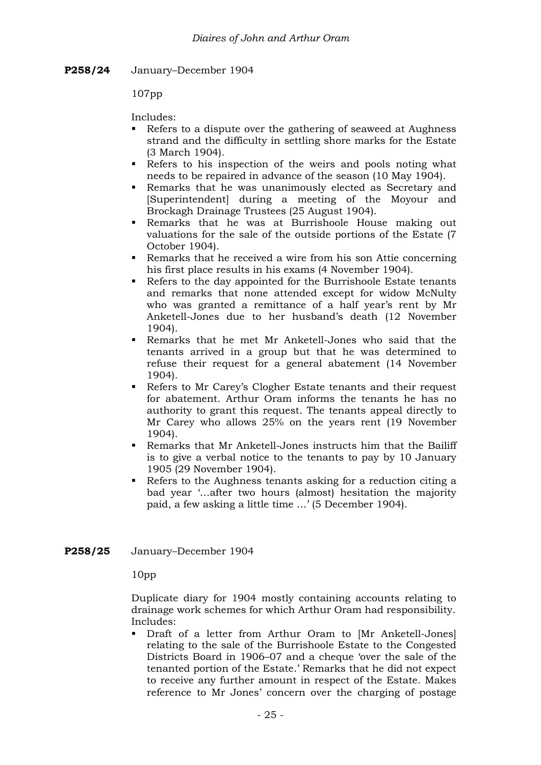**P258/24** January–December 1904

107pp

Includes:

- Refers to a dispute over the gathering of seaweed at Aughness strand and the difficulty in settling shore marks for the Estate (3 March 1904).
- Refers to his inspection of the weirs and pools noting what needs to be repaired in advance of the season (10 May 1904).
- Remarks that he was unanimously elected as Secretary and [Superintendent] during a meeting of the Moyour and Brockagh Drainage Trustees (25 August 1904).
- Remarks that he was at Burrishoole House making out valuations for the sale of the outside portions of the Estate (7 October 1904).
- Remarks that he received a wire from his son Attie concerning his first place results in his exams (4 November 1904).
- Refers to the day appointed for the Burrishoole Estate tenants and remarks that none attended except for widow McNulty who was granted a remittance of a half year's rent by Mr Anketell-Jones due to her husband's death (12 November 1904).
- Remarks that he met Mr Anketell-Jones who said that the tenants arrived in a group but that he was determined to refuse their request for a general abatement (14 November 1904).
- Refers to Mr Carey's Clogher Estate tenants and their request for abatement. Arthur Oram informs the tenants he has no authority to grant this request. The tenants appeal directly to Mr Carey who allows 25% on the years rent (19 November 1904).
- Remarks that Mr Anketell-Jones instructs him that the Bailiff is to give a verbal notice to the tenants to pay by 10 January 1905 (29 November 1904).
- Refers to the Aughness tenants asking for a reduction citing a bad year '…after two hours (almost) hesitation the majority paid, a few asking a little time …' (5 December 1904).
- **P258/25** January–December 1904

10pp

Duplicate diary for 1904 mostly containing accounts relating to drainage work schemes for which Arthur Oram had responsibility. Includes:

 Draft of a letter from Arthur Oram to [Mr Anketell-Jones] relating to the sale of the Burrishoole Estate to the Congested Districts Board in 1906–07 and a cheque 'over the sale of the tenanted portion of the Estate.' Remarks that he did not expect to receive any further amount in respect of the Estate. Makes reference to Mr Jones' concern over the charging of postage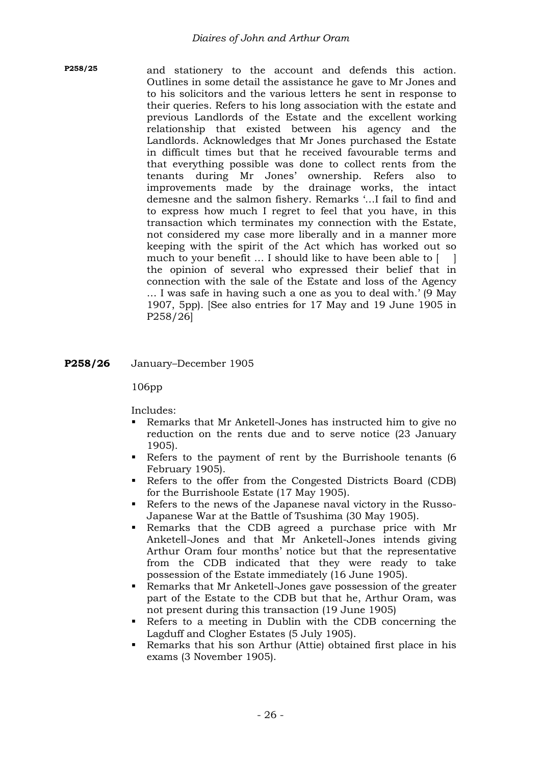- **P258/25** and stationery to the account and defends this action. Outlines in some detail the assistance he gave to Mr Jones and to his solicitors and the various letters he sent in response to their queries. Refers to his long association with the estate and previous Landlords of the Estate and the excellent working relationship that existed between his agency and the Landlords. Acknowledges that Mr Jones purchased the Estate in difficult times but that he received favourable terms and that everything possible was done to collect rents from the tenants during Mr Jones' ownership. Refers also to improvements made by the drainage works, the intact demesne and the salmon fishery. Remarks '…I fail to find and to express how much I regret to feel that you have, in this transaction which terminates my connection with the Estate, not considered my case more liberally and in a manner more keeping with the spirit of the Act which has worked out so much to your benefit … I should like to have been able to [ ] the opinion of several who expressed their belief that in connection with the sale of the Estate and loss of the Agency … I was safe in having such a one as you to deal with.' (9 May 1907, 5pp). [See also entries for 17 May and 19 June 1905 in P258/26]
- **P258/26** January–December 1905

### 106pp

- Remarks that Mr Anketell-Jones has instructed him to give no reduction on the rents due and to serve notice (23 January 1905).
- Refers to the payment of rent by the Burrishoole tenants (6 February 1905).
- Refers to the offer from the Congested Districts Board (CDB) for the Burrishoole Estate (17 May 1905).
- Refers to the news of the Japanese naval victory in the Russo-Japanese War at the Battle of Tsushima (30 May 1905).
- Remarks that the CDB agreed a purchase price with Mr Anketell-Jones and that Mr Anketell-Jones intends giving Arthur Oram four months' notice but that the representative from the CDB indicated that they were ready to take possession of the Estate immediately (16 June 1905).
- Remarks that Mr Anketell-Jones gave possession of the greater part of the Estate to the CDB but that he, Arthur Oram, was not present during this transaction (19 June 1905)
- Refers to a meeting in Dublin with the CDB concerning the Lagduff and Clogher Estates (5 July 1905).
- Remarks that his son Arthur (Attie) obtained first place in his exams (3 November 1905).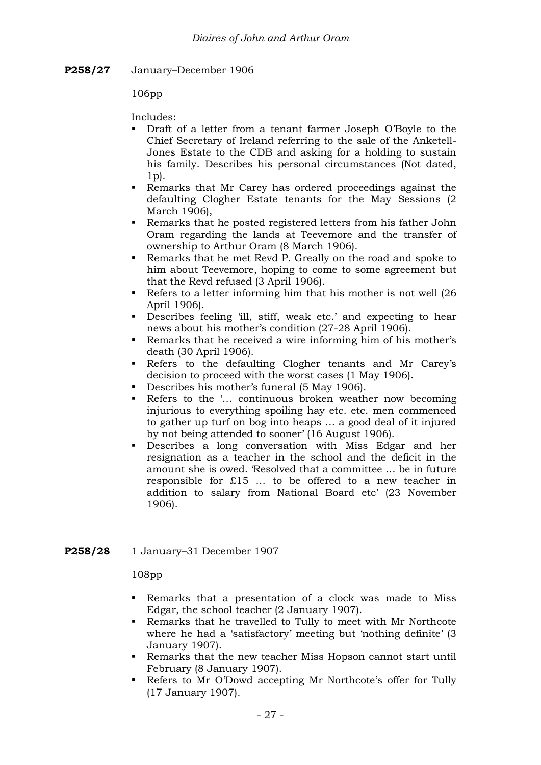**P258/27** January–December 1906

106pp

Includes:

- Draft of a letter from a tenant farmer Joseph O'Boyle to the Chief Secretary of Ireland referring to the sale of the Anketell-Jones Estate to the CDB and asking for a holding to sustain his family. Describes his personal circumstances (Not dated,  $1<sub>p</sub>$ .
- Remarks that Mr Carey has ordered proceedings against the defaulting Clogher Estate tenants for the May Sessions (2 March 1906),
- Remarks that he posted registered letters from his father John Oram regarding the lands at Teevemore and the transfer of ownership to Arthur Oram (8 March 1906).
- Remarks that he met Revd P. Greally on the road and spoke to him about Teevemore, hoping to come to some agreement but that the Revd refused (3 April 1906).
- Refers to a letter informing him that his mother is not well (26) April 1906).
- Describes feeling 'ill, stiff, weak etc.' and expecting to hear news about his mother's condition (27-28 April 1906).
- Remarks that he received a wire informing him of his mother's death (30 April 1906).
- Refers to the defaulting Clogher tenants and Mr Carey's decision to proceed with the worst cases (1 May 1906).
- Describes his mother's funeral (5 May 1906).
- Refers to the '... continuous broken weather now becoming injurious to everything spoiling hay etc. etc. men commenced to gather up turf on bog into heaps … a good deal of it injured by not being attended to sooner' (16 August 1906).
- Describes a long conversation with Miss Edgar and her resignation as a teacher in the school and the deficit in the amount she is owed. 'Resolved that a committee … be in future responsible for £15 … to be offered to a new teacher in addition to salary from National Board etc' (23 November 1906).

### **P258/28** 1 January–31 December 1907

108pp

- Remarks that a presentation of a clock was made to Miss Edgar, the school teacher (2 January 1907).
- Remarks that he travelled to Tully to meet with Mr Northcote where he had a 'satisfactory' meeting but 'nothing definite' (3 January 1907).
- Remarks that the new teacher Miss Hopson cannot start until February (8 January 1907).
- Refers to Mr O'Dowd accepting Mr Northcote's offer for Tully (17 January 1907).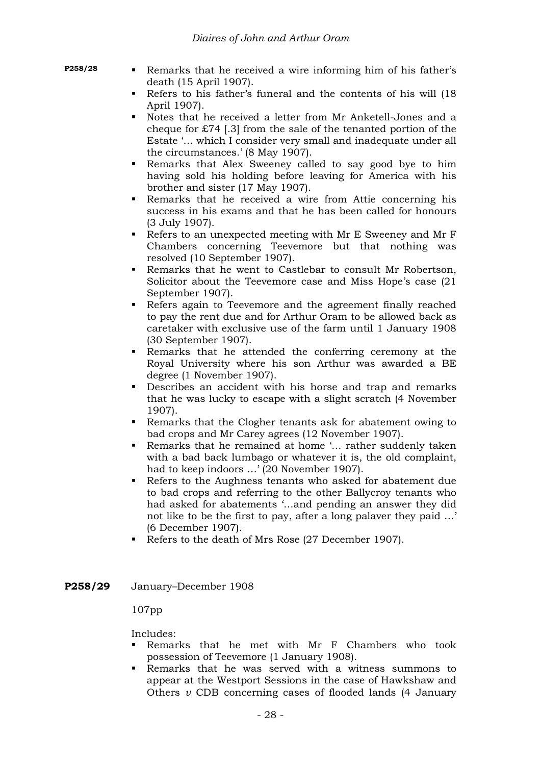- 
- **P258/28 Remarks** that he received a wire informing him of his father's death (15 April 1907).
	- Refers to his father's funeral and the contents of his will (18 April 1907).
	- Notes that he received a letter from Mr Anketell-Jones and a cheque for £74 [.3] from the sale of the tenanted portion of the Estate '… which I consider very small and inadequate under all the circumstances.' (8 May 1907).
	- Remarks that Alex Sweeney called to say good bye to him having sold his holding before leaving for America with his brother and sister (17 May 1907).
	- Remarks that he received a wire from Attie concerning his success in his exams and that he has been called for honours (3 July 1907).
	- Refers to an unexpected meeting with Mr E Sweeney and Mr F Chambers concerning Teevemore but that nothing was resolved (10 September 1907).
	- Remarks that he went to Castlebar to consult Mr Robertson, Solicitor about the Teevemore case and Miss Hope's case (21 September 1907).
	- Refers again to Teevemore and the agreement finally reached to pay the rent due and for Arthur Oram to be allowed back as caretaker with exclusive use of the farm until 1 January 1908 (30 September 1907).
	- Remarks that he attended the conferring ceremony at the Royal University where his son Arthur was awarded a BE degree (1 November 1907).
	- Describes an accident with his horse and trap and remarks that he was lucky to escape with a slight scratch (4 November 1907).
	- Remarks that the Clogher tenants ask for abatement owing to bad crops and Mr Carey agrees (12 November 1907).
	- Remarks that he remained at home '... rather suddenly taken with a bad back lumbago or whatever it is, the old complaint, had to keep indoors …' (20 November 1907).
	- Refers to the Aughness tenants who asked for abatement due to bad crops and referring to the other Ballycroy tenants who had asked for abatements '…and pending an answer they did not like to be the first to pay, after a long palaver they paid …' (6 December 1907).
	- Refers to the death of Mrs Rose (27 December 1907).
- **P258/29** January–December 1908

### 107pp

- Remarks that he met with Mr F Chambers who took possession of Teevemore (1 January 1908).
- Remarks that he was served with a witness summons to appear at the Westport Sessions in the case of Hawkshaw and Others *v* CDB concerning cases of flooded lands (4 January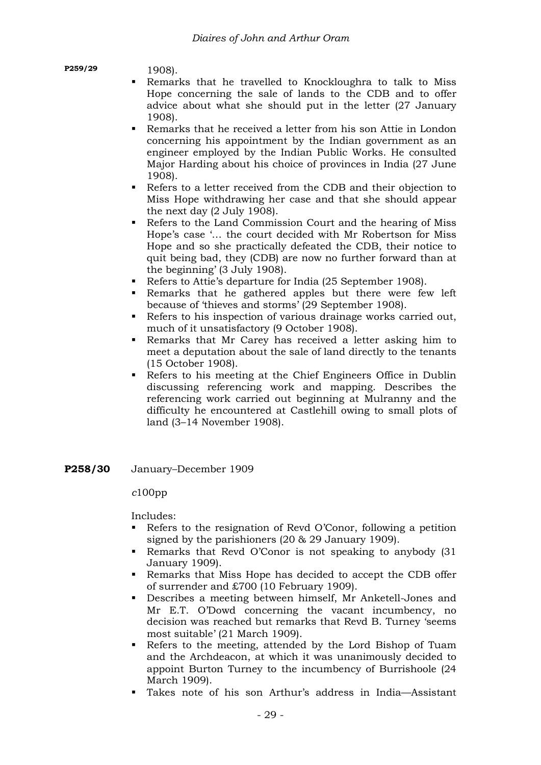#### **P259/29** 1908).

- Remarks that he travelled to Knockloughra to talk to Miss Hope concerning the sale of lands to the CDB and to offer advice about what she should put in the letter (27 January 1908).
- Remarks that he received a letter from his son Attie in London concerning his appointment by the Indian government as an engineer employed by the Indian Public Works. He consulted Major Harding about his choice of provinces in India (27 June 1908).
- Refers to a letter received from the CDB and their objection to Miss Hope withdrawing her case and that she should appear the next day (2 July 1908).
- Refers to the Land Commission Court and the hearing of Miss Hope's case '… the court decided with Mr Robertson for Miss Hope and so she practically defeated the CDB, their notice to quit being bad, they (CDB) are now no further forward than at the beginning' (3 July 1908).
- Refers to Attie's departure for India (25 September 1908).
- Remarks that he gathered apples but there were few left because of 'thieves and storms' (29 September 1908).
- Refers to his inspection of various drainage works carried out, much of it unsatisfactory (9 October 1908).
- Remarks that Mr Carey has received a letter asking him to meet a deputation about the sale of land directly to the tenants (15 October 1908).
- Refers to his meeting at the Chief Engineers Office in Dublin discussing referencing work and mapping. Describes the referencing work carried out beginning at Mulranny and the difficulty he encountered at Castlehill owing to small plots of land (3–14 November 1908).
- **P258/30** January–December 1909

# *c*100pp

- Refers to the resignation of Revd O'Conor, following a petition signed by the parishioners (20 & 29 January 1909).
- Remarks that Revd O'Conor is not speaking to anybody (31 January 1909).
- Remarks that Miss Hope has decided to accept the CDB offer of surrender and £700 (10 February 1909).
- Describes a meeting between himself, Mr Anketell-Jones and Mr E.T. O'Dowd concerning the vacant incumbency, no decision was reached but remarks that Revd B. Turney 'seems most suitable' (21 March 1909).
- Refers to the meeting, attended by the Lord Bishop of Tuam and the Archdeacon, at which it was unanimously decided to appoint Burton Turney to the incumbency of Burrishoole (24 March 1909).
- Takes note of his son Arthur's address in India—Assistant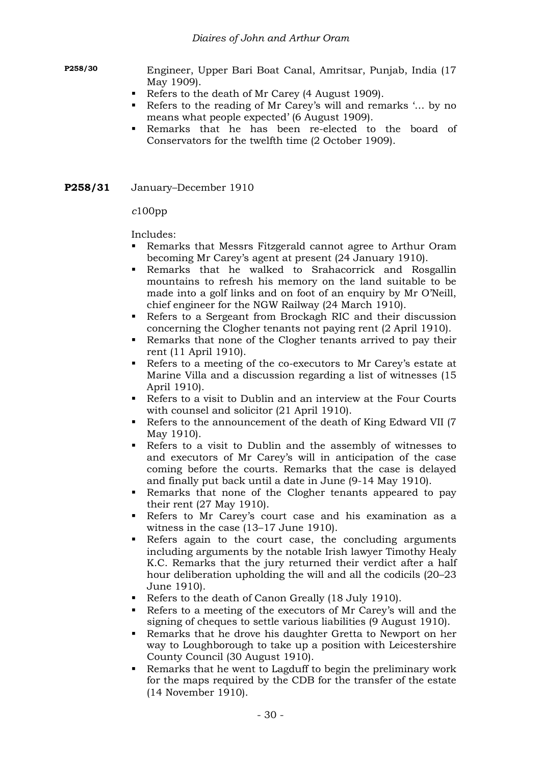**P258/30** Engineer, Upper Bari Boat Canal, Amritsar, Punjab, India (17 May 1909).

- Refers to the death of Mr Carey (4 August 1909).
- Refers to the reading of Mr Carey's will and remarks '... by no means what people expected' (6 August 1909).
- Remarks that he has been re-elected to the board of Conservators for the twelfth time (2 October 1909).
- **P258/31** January–December 1910

*c*100pp

- Remarks that Messrs Fitzgerald cannot agree to Arthur Oram becoming Mr Carey's agent at present (24 January 1910).
- Remarks that he walked to Srahacorrick and Rosgallin mountains to refresh his memory on the land suitable to be made into a golf links and on foot of an enquiry by Mr O'Neill, chief engineer for the NGW Railway (24 March 1910).
- Refers to a Sergeant from Brockagh RIC and their discussion concerning the Clogher tenants not paying rent (2 April 1910).
- Remarks that none of the Clogher tenants arrived to pay their rent (11 April 1910).
- Refers to a meeting of the co-executors to Mr Carey's estate at Marine Villa and a discussion regarding a list of witnesses (15 April 1910).
- Refers to a visit to Dublin and an interview at the Four Courts with counsel and solicitor (21 April 1910).
- Refers to the announcement of the death of King Edward VII (7 May 1910).
- Refers to a visit to Dublin and the assembly of witnesses to and executors of Mr Carey's will in anticipation of the case coming before the courts. Remarks that the case is delayed and finally put back until a date in June (9-14 May 1910).
- Remarks that none of the Clogher tenants appeared to pay their rent (27 May 1910).
- Refers to Mr Carey's court case and his examination as a witness in the case (13–17 June 1910).
- Refers again to the court case, the concluding arguments including arguments by the notable Irish lawyer Timothy Healy K.C. Remarks that the jury returned their verdict after a half hour deliberation upholding the will and all the codicils (20–23 June 1910).
- Refers to the death of Canon Greally (18 July 1910).
- Refers to a meeting of the executors of Mr Carey's will and the signing of cheques to settle various liabilities (9 August 1910).
- Remarks that he drove his daughter Gretta to Newport on her way to Loughborough to take up a position with Leicestershire County Council (30 August 1910).
- Remarks that he went to Lagduff to begin the preliminary work for the maps required by the CDB for the transfer of the estate (14 November 1910).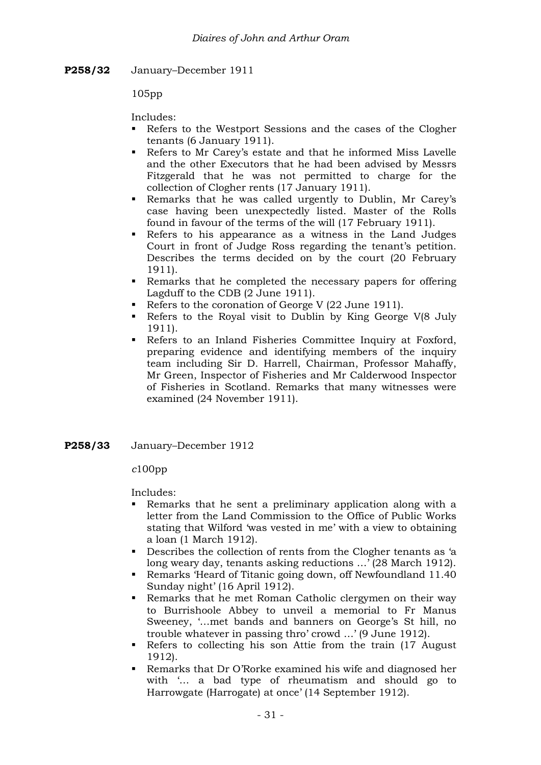**P258/32** January–December 1911

105pp

Includes:

- Refers to the Westport Sessions and the cases of the Clogher tenants (6 January 1911).
- Refers to Mr Carey's estate and that he informed Miss Lavelle and the other Executors that he had been advised by Messrs Fitzgerald that he was not permitted to charge for the collection of Clogher rents (17 January 1911).
- Remarks that he was called urgently to Dublin, Mr Carey's case having been unexpectedly listed. Master of the Rolls found in favour of the terms of the will (17 February 1911).
- Refers to his appearance as a witness in the Land Judges Court in front of Judge Ross regarding the tenant's petition. Describes the terms decided on by the court (20 February 1911).
- Remarks that he completed the necessary papers for offering Lagduff to the CDB (2 June 1911).
- Refers to the coronation of George V (22 June 1911).
- Refers to the Royal visit to Dublin by King George V(8 July 1911).
- Refers to an Inland Fisheries Committee Inquiry at Foxford, preparing evidence and identifying members of the inquiry team including Sir D. Harrell, Chairman, Professor Mahaffy, Mr Green, Inspector of Fisheries and Mr Calderwood Inspector of Fisheries in Scotland. Remarks that many witnesses were examined (24 November 1911).
- **P258/33** January–December 1912

*c*100pp

- Remarks that he sent a preliminary application along with a letter from the Land Commission to the Office of Public Works stating that Wilford 'was vested in me' with a view to obtaining a loan (1 March 1912).
- Describes the collection of rents from the Clogher tenants as 'a long weary day, tenants asking reductions …' (28 March 1912).
- Remarks 'Heard of Titanic going down, off Newfoundland 11.40 Sunday night' (16 April 1912).
- Remarks that he met Roman Catholic clergymen on their way to Burrishoole Abbey to unveil a memorial to Fr Manus Sweeney, '…met bands and banners on George's St hill, no trouble whatever in passing thro' crowd …' (9 June 1912).
- Refers to collecting his son Attie from the train (17 August 1912).
- Remarks that Dr O'Rorke examined his wife and diagnosed her with '… a bad type of rheumatism and should go to Harrowgate (Harrogate) at once' (14 September 1912).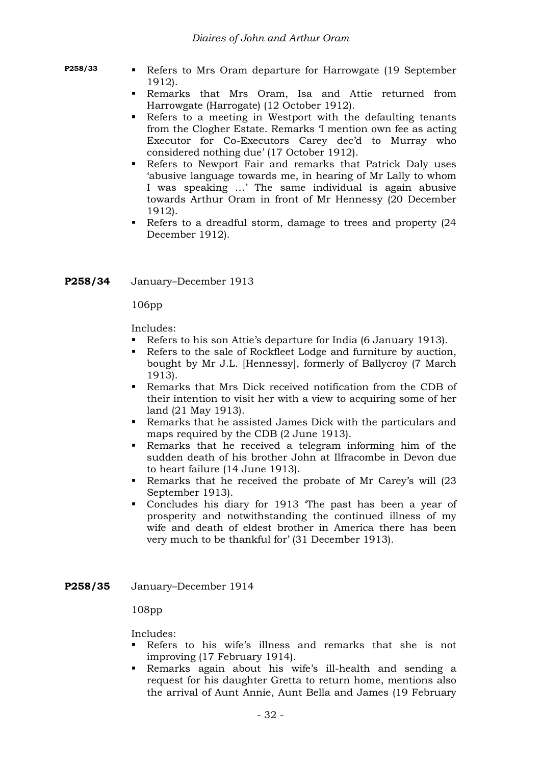- 
- **P258/33 Refers to Mrs Oram departure for Harrowgate (19 September** 1912).
	- Remarks that Mrs Oram, Isa and Attie returned from Harrowgate (Harrogate) (12 October 1912).
	- Refers to a meeting in Westport with the defaulting tenants from the Clogher Estate. Remarks 'I mention own fee as acting Executor for Co-Executors Carey dec'd to Murray who considered nothing due' (17 October 1912).
	- Refers to Newport Fair and remarks that Patrick Daly uses 'abusive language towards me, in hearing of Mr Lally to whom I was speaking …' The same individual is again abusive towards Arthur Oram in front of Mr Hennessy (20 December 1912).
	- Refers to a dreadful storm, damage to trees and property (24 December 1912).
- **P258/34** January–December 1913

106pp

Includes:

- Refers to his son Attie's departure for India (6 January 1913).
- Refers to the sale of Rockfleet Lodge and furniture by auction, bought by Mr J.L. [Hennessy], formerly of Ballycroy (7 March 1913).
- Remarks that Mrs Dick received notification from the CDB of their intention to visit her with a view to acquiring some of her land (21 May 1913).
- Remarks that he assisted James Dick with the particulars and maps required by the CDB (2 June 1913).
- Remarks that he received a telegram informing him of the sudden death of his brother John at Ilfracombe in Devon due to heart failure (14 June 1913).
- Remarks that he received the probate of Mr Carey's will (23 September 1913).
- Concludes his diary for 1913 'The past has been a year of prosperity and notwithstanding the continued illness of my wife and death of eldest brother in America there has been very much to be thankful for' (31 December 1913).
- **P258/35** January–December 1914

108pp

- Refers to his wife's illness and remarks that she is not improving (17 February 1914).
- Remarks again about his wife's ill-health and sending a request for his daughter Gretta to return home, mentions also the arrival of Aunt Annie, Aunt Bella and James (19 February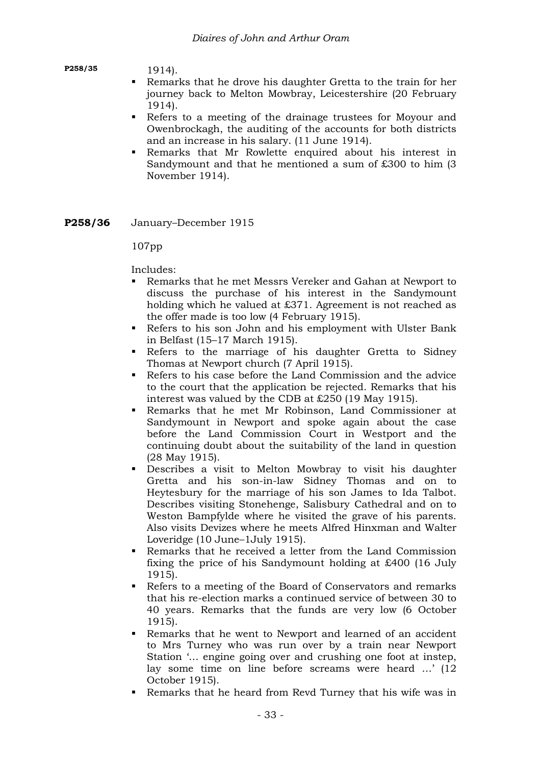**P258/35** 1914).

- Remarks that he drove his daughter Gretta to the train for her journey back to Melton Mowbray, Leicestershire (20 February 1914).
- Refers to a meeting of the drainage trustees for Moyour and Owenbrockagh, the auditing of the accounts for both districts and an increase in his salary. (11 June 1914).
- Remarks that Mr Rowlette enquired about his interest in Sandymount and that he mentioned a sum of £300 to him (3 November 1914).
- **P258/36** January–December 1915

107pp

- Remarks that he met Messrs Vereker and Gahan at Newport to discuss the purchase of his interest in the Sandymount holding which he valued at £371. Agreement is not reached as the offer made is too low (4 February 1915).
- Refers to his son John and his employment with Ulster Bank in Belfast (15–17 March 1915).
- Refers to the marriage of his daughter Gretta to Sidney Thomas at Newport church (7 April 1915).
- Refers to his case before the Land Commission and the advice to the court that the application be rejected. Remarks that his interest was valued by the CDB at £250 (19 May 1915).
- Remarks that he met Mr Robinson, Land Commissioner at Sandymount in Newport and spoke again about the case before the Land Commission Court in Westport and the continuing doubt about the suitability of the land in question (28 May 1915).
- Describes a visit to Melton Mowbray to visit his daughter Gretta and his son-in-law Sidney Thomas and on to Heytesbury for the marriage of his son James to Ida Talbot. Describes visiting Stonehenge, Salisbury Cathedral and on to Weston Bampfylde where he visited the grave of his parents. Also visits Devizes where he meets Alfred Hinxman and Walter Loveridge (10 June–1July 1915).
- Remarks that he received a letter from the Land Commission fixing the price of his Sandymount holding at £400 (16 July 1915).
- Refers to a meeting of the Board of Conservators and remarks that his re-election marks a continued service of between 30 to 40 years. Remarks that the funds are very low (6 October 1915).
- Remarks that he went to Newport and learned of an accident to Mrs Turney who was run over by a train near Newport Station '… engine going over and crushing one foot at instep, lay some time on line before screams were heard …' (12 October 1915).
- Remarks that he heard from Revd Turney that his wife was in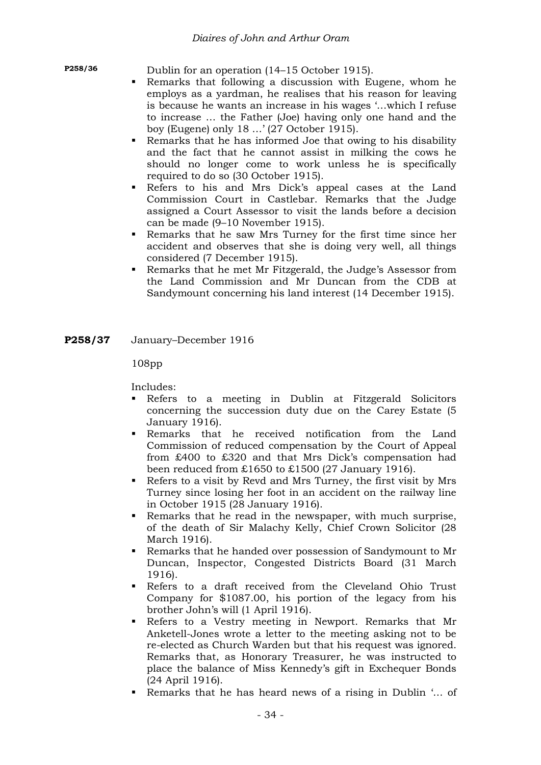**P258/36** Dublin for an operation (14–15 October 1915).

- Remarks that following a discussion with Eugene, whom he employs as a yardman, he realises that his reason for leaving is because he wants an increase in his wages '…which I refuse to increase … the Father (Joe) having only one hand and the boy (Eugene) only 18 …' (27 October 1915).
- Remarks that he has informed Joe that owing to his disability and the fact that he cannot assist in milking the cows he should no longer come to work unless he is specifically required to do so (30 October 1915).
- Refers to his and Mrs Dick's appeal cases at the Land Commission Court in Castlebar. Remarks that the Judge assigned a Court Assessor to visit the lands before a decision can be made (9–10 November 1915).
- Remarks that he saw Mrs Turney for the first time since her accident and observes that she is doing very well, all things considered (7 December 1915).
- Remarks that he met Mr Fitzgerald, the Judge's Assessor from the Land Commission and Mr Duncan from the CDB at Sandymount concerning his land interest (14 December 1915).
- **P258/37** January–December 1916

108pp

- Refers to a meeting in Dublin at Fitzgerald Solicitors concerning the succession duty due on the Carey Estate (5 January 1916).
- Remarks that he received notification from the Land Commission of reduced compensation by the Court of Appeal from £400 to £320 and that Mrs Dick's compensation had been reduced from £1650 to £1500 (27 January 1916).
- Refers to a visit by Revd and Mrs Turney, the first visit by Mrs Turney since losing her foot in an accident on the railway line in October 1915 (28 January 1916).
- Remarks that he read in the newspaper, with much surprise, of the death of Sir Malachy Kelly, Chief Crown Solicitor (28 March 1916).
- Remarks that he handed over possession of Sandymount to Mr Duncan, Inspector, Congested Districts Board (31 March 1916).
- Refers to a draft received from the Cleveland Ohio Trust Company for \$1087.00, his portion of the legacy from his brother John's will (1 April 1916).
- Refers to a Vestry meeting in Newport. Remarks that Mr Anketell-Jones wrote a letter to the meeting asking not to be re-elected as Church Warden but that his request was ignored. Remarks that, as Honorary Treasurer, he was instructed to place the balance of Miss Kennedy's gift in Exchequer Bonds (24 April 1916).
- Remarks that he has heard news of a rising in Dublin '… of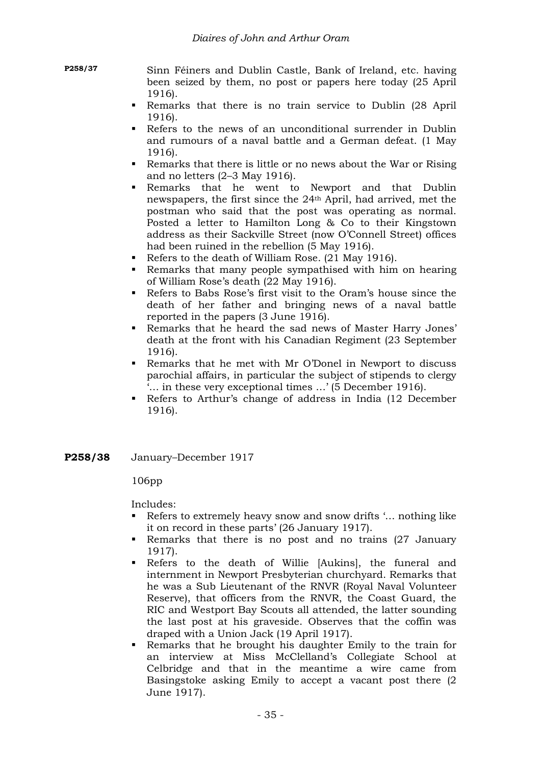**P258/37** Sinn Féiners and Dublin Castle, Bank of Ireland, etc. having been seized by them, no post or papers here today (25 April 1916).

- Remarks that there is no train service to Dublin (28 April 1916).
- Refers to the news of an unconditional surrender in Dublin and rumours of a naval battle and a German defeat. (1 May 1916).
- Remarks that there is little or no news about the War or Rising and no letters (2–3 May 1916).
- Remarks that he went to Newport and that Dublin newspapers, the first since the 24th April, had arrived, met the postman who said that the post was operating as normal. Posted a letter to Hamilton Long & Co to their Kingstown address as their Sackville Street (now O'Connell Street) offices had been ruined in the rebellion (5 May 1916).
- Refers to the death of William Rose. (21 May 1916).
- Remarks that many people sympathised with him on hearing of William Rose's death (22 May 1916).
- Refers to Babs Rose's first visit to the Oram's house since the death of her father and bringing news of a naval battle reported in the papers (3 June 1916).
- Remarks that he heard the sad news of Master Harry Jones' death at the front with his Canadian Regiment (23 September 1916).
- Remarks that he met with Mr O'Donel in Newport to discuss parochial affairs, in particular the subject of stipends to clergy '… in these very exceptional times …' (5 December 1916).
- Refers to Arthur's change of address in India (12 December 1916).
- **P258/38** January–December 1917

106pp

- Refers to extremely heavy snow and snow drifts '… nothing like it on record in these parts' (26 January 1917).
- Remarks that there is no post and no trains (27 January 1917).
- Refers to the death of Willie [Aukins], the funeral and internment in Newport Presbyterian churchyard. Remarks that he was a Sub Lieutenant of the RNVR (Royal Naval Volunteer Reserve), that officers from the RNVR, the Coast Guard, the RIC and Westport Bay Scouts all attended, the latter sounding the last post at his graveside. Observes that the coffin was draped with a Union Jack (19 April 1917).
- Remarks that he brought his daughter Emily to the train for an interview at Miss McClelland's Collegiate School at Celbridge and that in the meantime a wire came from Basingstoke asking Emily to accept a vacant post there (2 June 1917).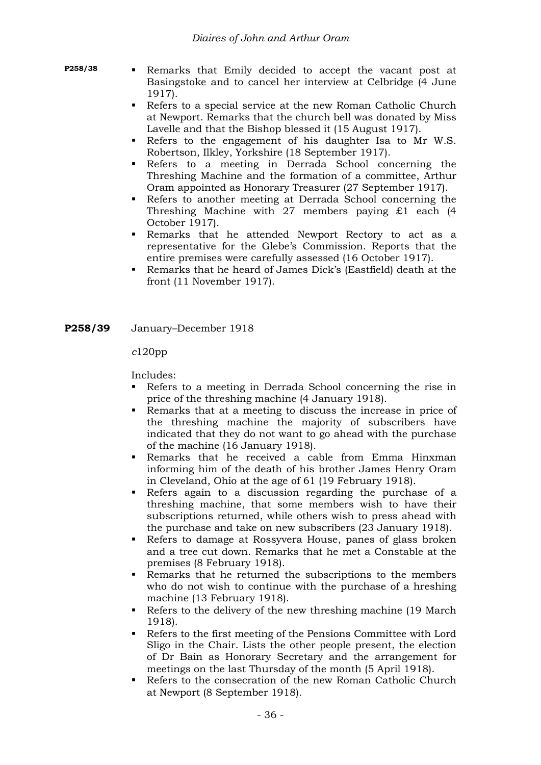- **P258/38 Remarks** that Emily decided to accept the vacant post at Basingstoke and to cancel her interview at Celbridge (4 June 1917).
	- Refers to a special service at the new Roman Catholic Church at Newport. Remarks that the church bell was donated by Miss Lavelle and that the Bishop blessed it (15 August 1917).
	- Refers to the engagement of his daughter Isa to Mr W.S. Robertson, Ilkley, Yorkshire (18 September 1917).
	- Refers to a meeting in Derrada School concerning the Threshing Machine and the formation of a committee, Arthur Oram appointed as Honorary Treasurer (27 September 1917).
	- Refers to another meeting at Derrada School concerning the Threshing Machine with 27 members paying £1 each (4 October 1917).
	- Remarks that he attended Newport Rectory to act as a representative for the Glebe's Commission. Reports that the entire premises were carefully assessed (16 October 1917).
	- Remarks that he heard of James Dick's (Eastfield) death at the front (11 November 1917).
- **P258/39** January–December 1918

#### *c*120pp

- Refers to a meeting in Derrada School concerning the rise in price of the threshing machine (4 January 1918).
- Remarks that at a meeting to discuss the increase in price of the threshing machine the majority of subscribers have indicated that they do not want to go ahead with the purchase of the machine (16 January 1918).
- Remarks that he received a cable from Emma Hinxman informing him of the death of his brother James Henry Oram in Cleveland, Ohio at the age of 61 (19 February 1918).
- Refers again to a discussion regarding the purchase of a threshing machine, that some members wish to have their subscriptions returned, while others wish to press ahead with the purchase and take on new subscribers (23 January 1918).
- Refers to damage at Rossyvera House, panes of glass broken and a tree cut down. Remarks that he met a Constable at the premises (8 February 1918).
- Remarks that he returned the subscriptions to the members who do not wish to continue with the purchase of a hreshing machine (13 February 1918).
- Refers to the delivery of the new threshing machine (19 March) 1918).
- Refers to the first meeting of the Pensions Committee with Lord Sligo in the Chair. Lists the other people present, the election of Dr Bain as Honorary Secretary and the arrangement for meetings on the last Thursday of the month (5 April 1918).
- Refers to the consecration of the new Roman Catholic Church at Newport (8 September 1918).